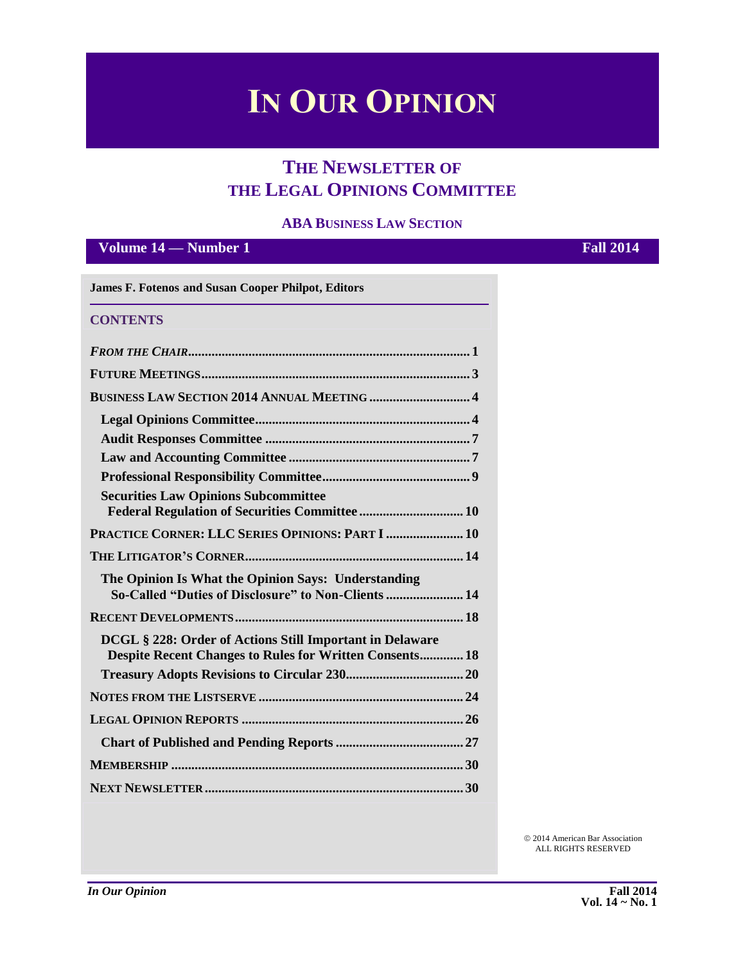# **IN OUR OPINION**

# **THE NEWSLETTER OF THE LEGAL OPINIONS COMMITTEE**

#### **ABA BUSINESS LAW SECTION**

### **Volume 14 — Number 1 Fall 2014**

| <b>CONTENTS</b>                                                                                            |  |
|------------------------------------------------------------------------------------------------------------|--|
|                                                                                                            |  |
|                                                                                                            |  |
|                                                                                                            |  |
|                                                                                                            |  |
|                                                                                                            |  |
|                                                                                                            |  |
|                                                                                                            |  |
| <b>Securities Law Opinions Subcommittee</b>                                                                |  |
| PRACTICE CORNER: LLC SERIES OPINIONS: PART I  10                                                           |  |
|                                                                                                            |  |
| The Opinion Is What the Opinion Says: Understanding<br>So-Called "Duties of Disclosure" to Non-Clients  14 |  |
|                                                                                                            |  |
| DCGL § 228: Order of Actions Still Important in Delaware                                                   |  |
| <b>Despite Recent Changes to Rules for Written Consents 18</b>                                             |  |
|                                                                                                            |  |
|                                                                                                            |  |
|                                                                                                            |  |
|                                                                                                            |  |
|                                                                                                            |  |
|                                                                                                            |  |

 2014 American Bar Association ALL RIGHTS RESERVED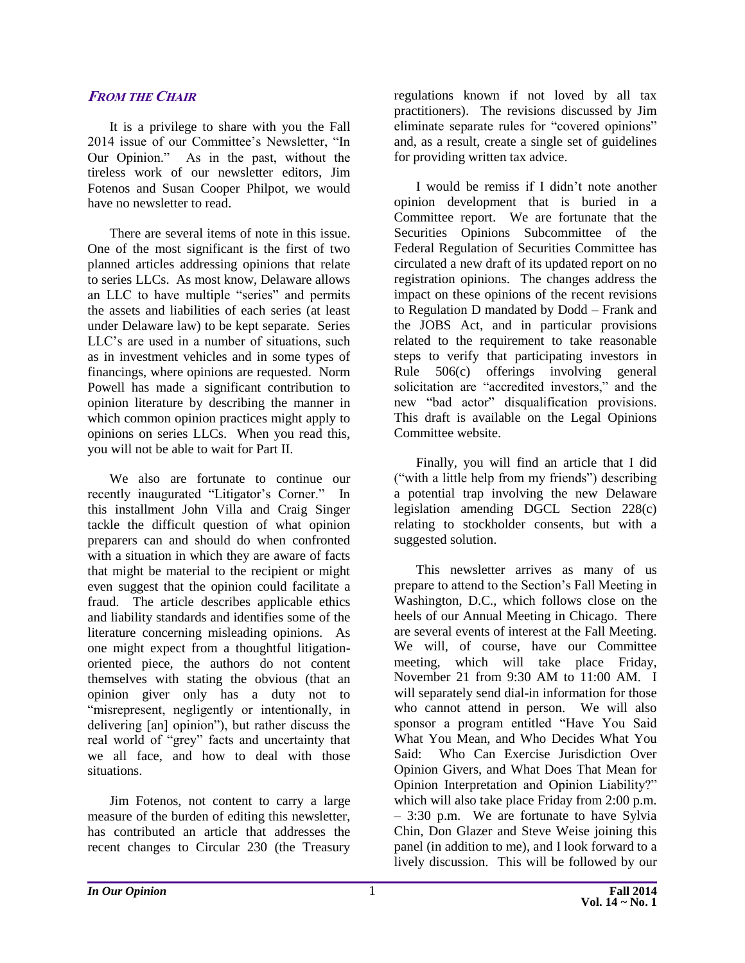#### **FROM THE CHAIR**

It is a privilege to share with you the Fall 2014 issue of our Committee's Newsletter, "In Our Opinion." As in the past, without the tireless work of our newsletter editors, Jim Fotenos and Susan Cooper Philpot, we would have no newsletter to read.

There are several items of note in this issue. One of the most significant is the first of two planned articles addressing opinions that relate to series LLCs. As most know, Delaware allows an LLC to have multiple "series" and permits the assets and liabilities of each series (at least under Delaware law) to be kept separate. Series LLC's are used in a number of situations, such as in investment vehicles and in some types of financings, where opinions are requested. Norm Powell has made a significant contribution to opinion literature by describing the manner in which common opinion practices might apply to opinions on series LLCs. When you read this, you will not be able to wait for Part II.

We also are fortunate to continue our recently inaugurated "Litigator's Corner." In this installment John Villa and Craig Singer tackle the difficult question of what opinion preparers can and should do when confronted with a situation in which they are aware of facts that might be material to the recipient or might even suggest that the opinion could facilitate a fraud. The article describes applicable ethics and liability standards and identifies some of the literature concerning misleading opinions. As one might expect from a thoughtful litigationoriented piece, the authors do not content themselves with stating the obvious (that an opinion giver only has a duty not to "misrepresent, negligently or intentionally, in delivering [an] opinion"), but rather discuss the real world of "grey" facts and uncertainty that we all face, and how to deal with those situations.

Jim Fotenos, not content to carry a large measure of the burden of editing this newsletter, has contributed an article that addresses the recent changes to Circular 230 (the Treasury regulations known if not loved by all tax practitioners). The revisions discussed by Jim eliminate separate rules for "covered opinions" and, as a result, create a single set of guidelines for providing written tax advice.

I would be remiss if I didn't note another opinion development that is buried in a Committee report. We are fortunate that the Securities Opinions Subcommittee of the Federal Regulation of Securities Committee has circulated a new draft of its updated report on no registration opinions. The changes address the impact on these opinions of the recent revisions to Regulation D mandated by Dodd – Frank and the JOBS Act, and in particular provisions related to the requirement to take reasonable steps to verify that participating investors in Rule 506(c) offerings involving general solicitation are "accredited investors," and the new "bad actor" disqualification provisions. This draft is available on the Legal Opinions Committee website.

Finally, you will find an article that I did ("with a little help from my friends") describing a potential trap involving the new Delaware legislation amending DGCL Section 228(c) relating to stockholder consents, but with a suggested solution.

This newsletter arrives as many of us prepare to attend to the Section's Fall Meeting in Washington, D.C., which follows close on the heels of our Annual Meeting in Chicago. There are several events of interest at the Fall Meeting. We will, of course, have our Committee meeting, which will take place Friday, November 21 from 9:30 AM to 11:00 AM. I will separately send dial-in information for those who cannot attend in person. We will also sponsor a program entitled "Have You Said What You Mean, and Who Decides What You Said: Who Can Exercise Jurisdiction Over Opinion Givers, and What Does That Mean for Opinion Interpretation and Opinion Liability?" which will also take place Friday from 2:00 p.m. – 3:30 p.m. We are fortunate to have Sylvia Chin, Don Glazer and Steve Weise joining this panel (in addition to me), and I look forward to a lively discussion. This will be followed by our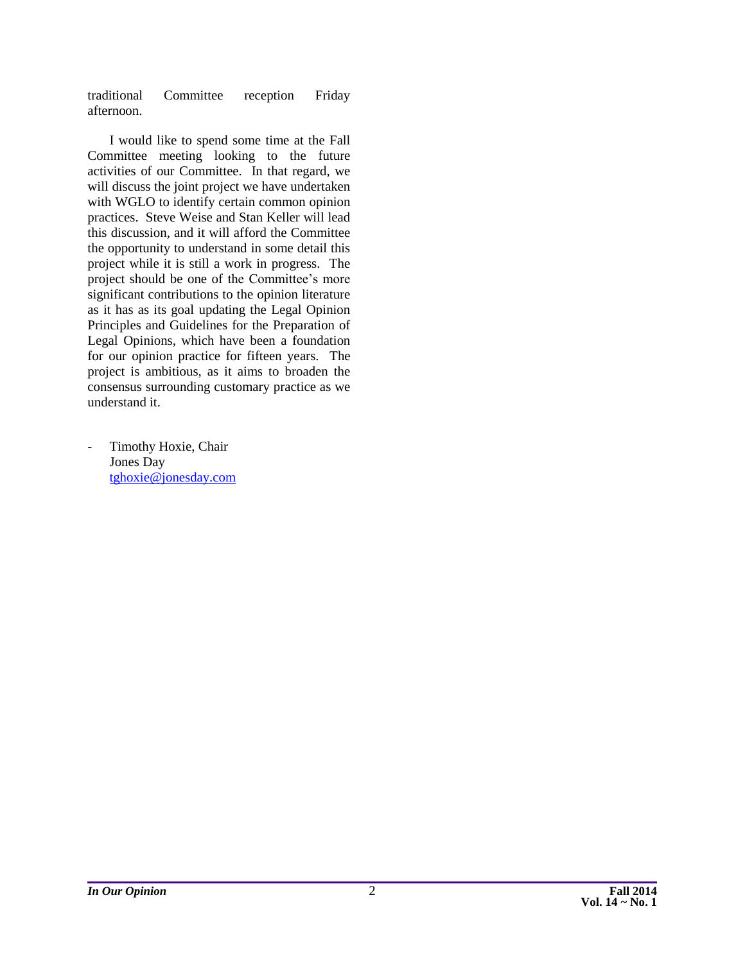traditional Committee reception Friday afternoon.

I would like to spend some time at the Fall Committee meeting looking to the future activities of our Committee. In that regard, we will discuss the joint project we have undertaken with WGLO to identify certain common opinion practices. Steve Weise and Stan Keller will lead this discussion, and it will afford the Committee the opportunity to understand in some detail this project while it is still a work in progress. The project should be one of the Committee's more significant contributions to the opinion literature as it has as its goal updating the Legal Opinion Principles and Guidelines for the Preparation of Legal Opinions, which have been a foundation for our opinion practice for fifteen years. The project is ambitious, as it aims to broaden the consensus surrounding customary practice as we understand it.

Timothy Hoxie, Chair Jones Day [tghoxie@jonesday.com](mailto:tghoxie@jonesday.com)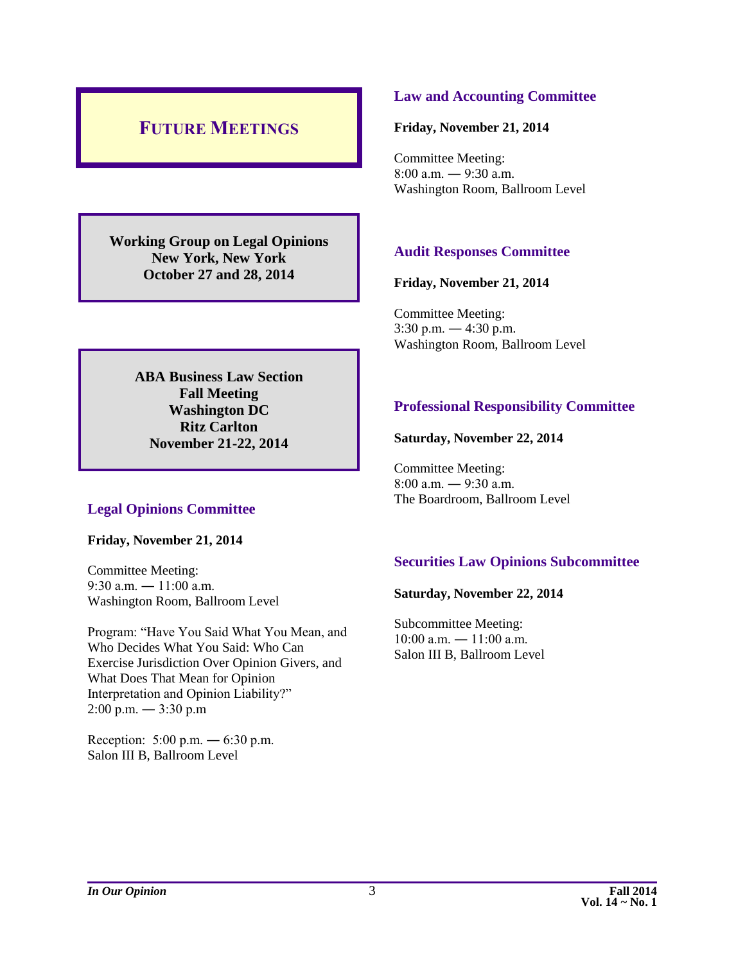# <span id="page-3-0"></span>**FUTURE MEETINGS**

**Working Group on Legal Opinions New York, New York October 27 and 28, 2014**

> **ABA Business Law Section Fall Meeting Washington DC Ritz Carlton November 21-22, 2014**

#### **Legal Opinions Committee**

**Friday, November 21, 2014**

Committee Meeting: 9:30 a.m.  $-11:00$  a.m. Washington Room, Ballroom Level

Program: "Have You Said What You Mean, and Who Decides What You Said: Who Can Exercise Jurisdiction Over Opinion Givers, and What Does That Mean for Opinion Interpretation and Opinion Liability?" 2:00 p.m. ― 3:30 p.m

Reception: 5:00 p.m. ― 6:30 p.m. Salon III B, Ballroom Level

#### **Law and Accounting Committee**

#### **Friday, November 21, 2014**

Committee Meeting: 8:00 a.m. ― 9:30 a.m. Washington Room, Ballroom Level

#### **Audit Responses Committee**

#### **Friday, November 21, 2014**

Committee Meeting:  $3:30$  p.m.  $-4:30$  p.m. Washington Room, Ballroom Level

#### **Professional Responsibility Committee**

#### **Saturday, November 22, 2014**

Committee Meeting: 8:00 a.m. ― 9:30 a.m. The Boardroom, Ballroom Level

#### **Securities Law Opinions Subcommittee**

#### **Saturday, November 22, 2014**

Subcommittee Meeting:  $10:00$  a.m.  $- 11:00$  a.m. Salon III B, Ballroom Level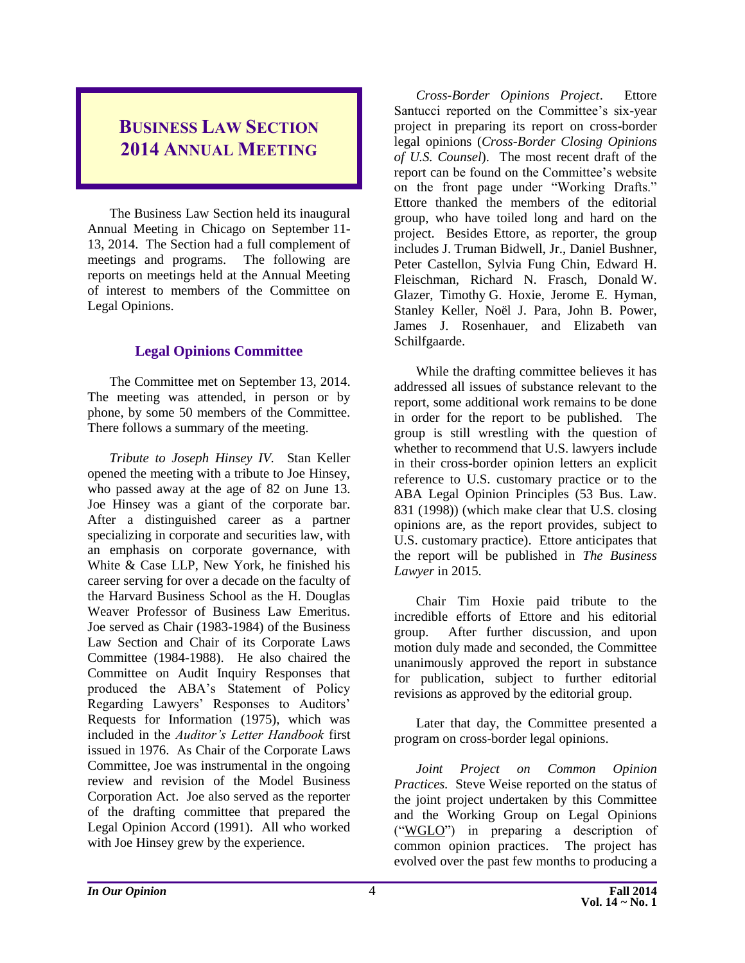# <span id="page-4-0"></span>**BUSINESS LAW SECTION 2014 ANNUAL MEETING**

The Business Law Section held its inaugural Annual Meeting in Chicago on September 11- 13, 2014. The Section had a full complement of meetings and programs. The following are reports on meetings held at the Annual Meeting of interest to members of the Committee on Legal Opinions.

### **Legal Opinions Committee**

<span id="page-4-1"></span>The Committee met on September 13, 2014. The meeting was attended, in person or by phone, by some 50 members of the Committee. There follows a summary of the meeting.

*Tribute to Joseph Hinsey IV.* Stan Keller opened the meeting with a tribute to Joe Hinsey, who passed away at the age of 82 on June 13. Joe Hinsey was a giant of the corporate bar. After a distinguished career as a partner specializing in corporate and securities law, with an emphasis on corporate governance, with White & Case LLP, New York, he finished his career serving for over a decade on the faculty of the Harvard Business School as the H. Douglas Weaver Professor of Business Law Emeritus. Joe served as Chair (1983-1984) of the Business Law Section and Chair of its Corporate Laws Committee (1984-1988). He also chaired the Committee on Audit Inquiry Responses that produced the ABA's Statement of Policy Regarding Lawyers' Responses to Auditors' Requests for Information (1975), which was included in the *Auditor's Letter Handbook* first issued in 1976. As Chair of the Corporate Laws Committee, Joe was instrumental in the ongoing review and revision of the Model Business Corporation Act. Joe also served as the reporter of the drafting committee that prepared the Legal Opinion Accord (1991). All who worked with Joe Hinsey grew by the experience.

*Cross-Border Opinions Project*. Ettore Santucci reported on the Committee's six-year project in preparing its report on cross-border legal opinions (*Cross-Border Closing Opinions of U.S. Counsel*). The most recent draft of the report can be found on the Committee's website on the front page under "Working Drafts." Ettore thanked the members of the editorial group, who have toiled long and hard on the project. Besides Ettore, as reporter, the group includes J. Truman Bidwell, Jr., Daniel Bushner, Peter Castellon, Sylvia Fung Chin, Edward H. Fleischman, Richard N. Frasch, Donald W. Glazer, Timothy G. Hoxie, Jerome E. Hyman, Stanley Keller, Noël J. Para, John B. Power, James J. Rosenhauer, and Elizabeth van Schilfgaarde.

While the drafting committee believes it has addressed all issues of substance relevant to the report, some additional work remains to be done in order for the report to be published. The group is still wrestling with the question of whether to recommend that U.S. lawyers include in their cross-border opinion letters an explicit reference to U.S. customary practice or to the ABA Legal Opinion Principles (53 Bus. Law. 831 (1998)) (which make clear that U.S. closing opinions are, as the report provides, subject to U.S. customary practice). Ettore anticipates that the report will be published in *The Business Lawyer* in 2015.

Chair Tim Hoxie paid tribute to the incredible efforts of Ettore and his editorial group. After further discussion, and upon motion duly made and seconded, the Committee unanimously approved the report in substance for publication, subject to further editorial revisions as approved by the editorial group.

Later that day, the Committee presented a program on cross-border legal opinions.

*Joint Project on Common Opinion Practices.* Steve Weise reported on the status of the joint project undertaken by this Committee and the Working Group on Legal Opinions ("WGLO") in preparing a description of common opinion practices. The project has evolved over the past few months to producing a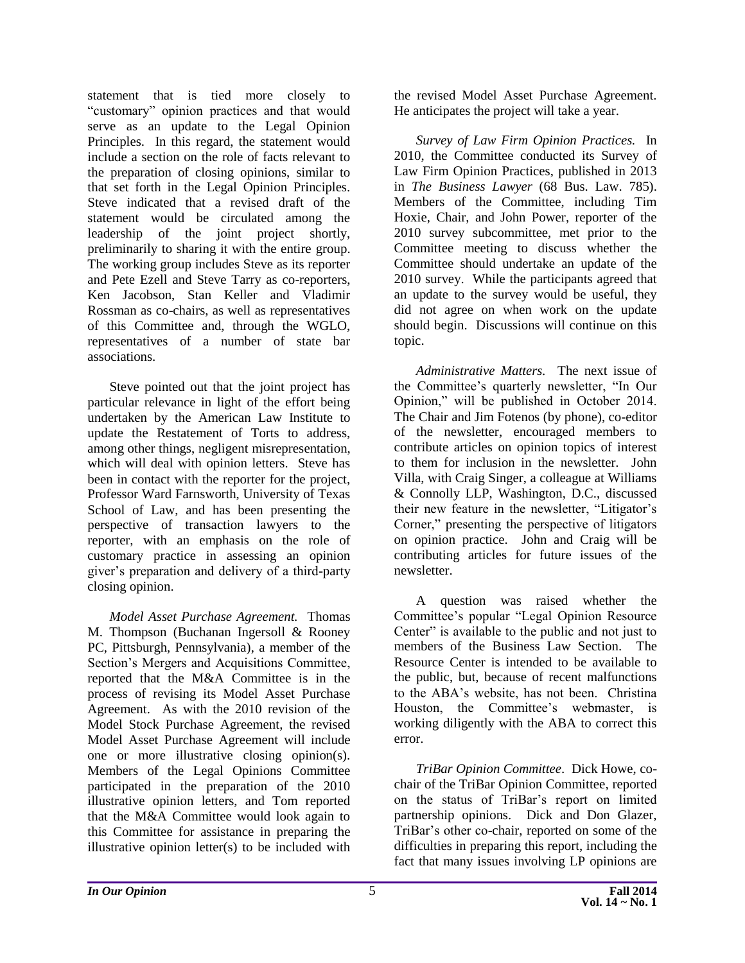statement that is tied more closely to "customary" opinion practices and that would serve as an update to the Legal Opinion Principles. In this regard, the statement would include a section on the role of facts relevant to the preparation of closing opinions, similar to that set forth in the Legal Opinion Principles. Steve indicated that a revised draft of the statement would be circulated among the leadership of the joint project shortly, preliminarily to sharing it with the entire group. The working group includes Steve as its reporter and Pete Ezell and Steve Tarry as co-reporters, Ken Jacobson, Stan Keller and Vladimir Rossman as co-chairs, as well as representatives of this Committee and, through the WGLO, representatives of a number of state bar associations.

Steve pointed out that the joint project has particular relevance in light of the effort being undertaken by the American Law Institute to update the Restatement of Torts to address, among other things, negligent misrepresentation, which will deal with opinion letters. Steve has been in contact with the reporter for the project, Professor Ward Farnsworth, University of Texas School of Law, and has been presenting the perspective of transaction lawyers to the reporter, with an emphasis on the role of customary practice in assessing an opinion giver's preparation and delivery of a third-party closing opinion.

*Model Asset Purchase Agreement.* Thomas M. Thompson (Buchanan Ingersoll & Rooney PC, Pittsburgh, Pennsylvania), a member of the Section's Mergers and Acquisitions Committee, reported that the M&A Committee is in the process of revising its Model Asset Purchase Agreement. As with the 2010 revision of the Model Stock Purchase Agreement, the revised Model Asset Purchase Agreement will include one or more illustrative closing opinion(s). Members of the Legal Opinions Committee participated in the preparation of the 2010 illustrative opinion letters, and Tom reported that the M&A Committee would look again to this Committee for assistance in preparing the illustrative opinion letter(s) to be included with

the revised Model Asset Purchase Agreement. He anticipates the project will take a year.

*Survey of Law Firm Opinion Practices.* In 2010, the Committee conducted its Survey of Law Firm Opinion Practices, published in 2013 in *The Business Lawyer* (68 Bus. Law. 785). Members of the Committee, including Tim Hoxie, Chair, and John Power, reporter of the 2010 survey subcommittee, met prior to the Committee meeting to discuss whether the Committee should undertake an update of the 2010 survey. While the participants agreed that an update to the survey would be useful, they did not agree on when work on the update should begin. Discussions will continue on this topic.

*Administrative Matters.* The next issue of the Committee's quarterly newsletter, "In Our Opinion," will be published in October 2014. The Chair and Jim Fotenos (by phone), co-editor of the newsletter, encouraged members to contribute articles on opinion topics of interest to them for inclusion in the newsletter. John Villa, with Craig Singer, a colleague at Williams & Connolly LLP, Washington, D.C., discussed their new feature in the newsletter, "Litigator's Corner," presenting the perspective of litigators on opinion practice. John and Craig will be contributing articles for future issues of the newsletter.

A question was raised whether the Committee's popular "Legal Opinion Resource Center" is available to the public and not just to members of the Business Law Section. The Resource Center is intended to be available to the public, but, because of recent malfunctions to the ABA's website, has not been. Christina Houston, the Committee's webmaster, is working diligently with the ABA to correct this error.

*TriBar Opinion Committee*. Dick Howe, cochair of the TriBar Opinion Committee, reported on the status of TriBar's report on limited partnership opinions. Dick and Don Glazer, TriBar's other co-chair, reported on some of the difficulties in preparing this report, including the fact that many issues involving LP opinions are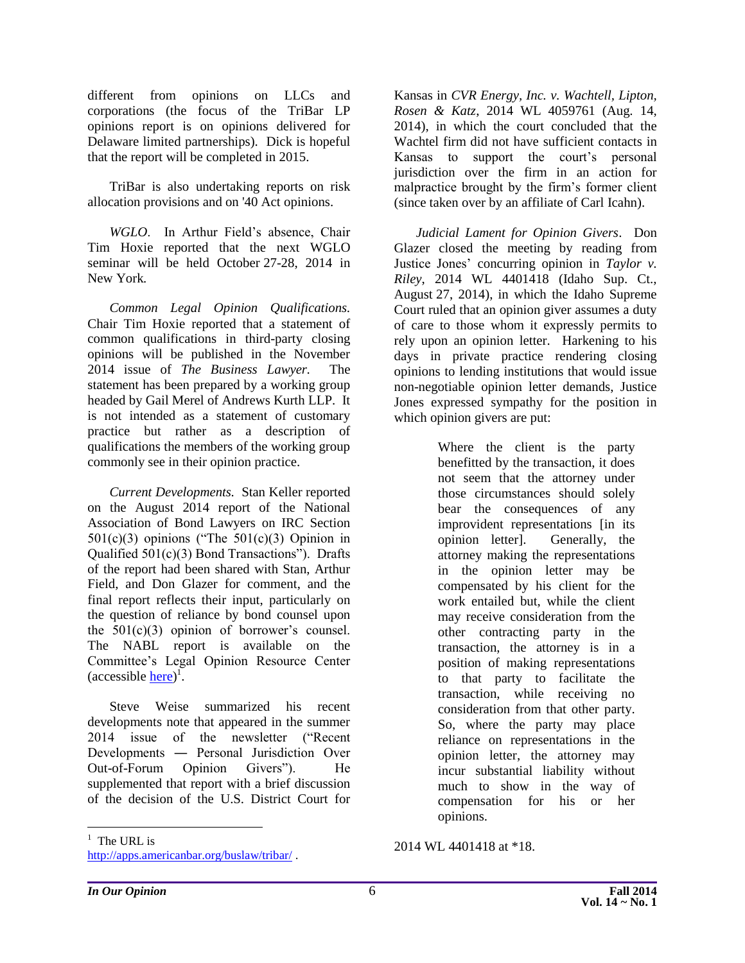different from opinions on LLCs and corporations (the focus of the TriBar LP opinions report is on opinions delivered for Delaware limited partnerships). Dick is hopeful that the report will be completed in 2015.

TriBar is also undertaking reports on risk allocation provisions and on '40 Act opinions.

*WGLO*. In Arthur Field's absence, Chair Tim Hoxie reported that the next WGLO seminar will be held October 27-28, 2014 in New York*.*

*Common Legal Opinion Qualifications.* Chair Tim Hoxie reported that a statement of common qualifications in third-party closing opinions will be published in the November 2014 issue of *The Business Lawyer.* The statement has been prepared by a working group headed by Gail Merel of Andrews Kurth LLP. It is not intended as a statement of customary practice but rather as a description of qualifications the members of the working group commonly see in their opinion practice.

*Current Developments.* Stan Keller reported on the August 2014 report of the National Association of Bond Lawyers on IRC Section  $501(c)(3)$  opinions ("The  $501(c)(3)$  Opinion in Qualified 501(c)(3) Bond Transactions"). Drafts of the report had been shared with Stan, Arthur Field, and Don Glazer for comment, and the final report reflects their input, particularly on the question of reliance by bond counsel upon the 501(c)(3) opinion of borrower's counsel. The NABL report is available on the Committee's Legal Opinion Resource Center (accessible <u>here</u>)<sup>1</sup>.

Steve Weise summarized his recent developments note that appeared in the summer 2014 issue of the newsletter ("Recent Developments ― Personal Jurisdiction Over Out-of-Forum Opinion Givers"). He supplemented that report with a brief discussion of the decision of the U.S. District Court for

Kansas in *CVR Energy, Inc. v. Wachtell, Lipton, Rosen & Katz*, 2014 WL 4059761 (Aug. 14, 2014), in which the court concluded that the Wachtel firm did not have sufficient contacts in Kansas to support the court's personal jurisdiction over the firm in an action for malpractice brought by the firm's former client (since taken over by an affiliate of Carl Icahn).

*Judicial Lament for Opinion Givers*. Don Glazer closed the meeting by reading from Justice Jones' concurring opinion in *Taylor v. Riley*, 2014 WL 4401418 (Idaho Sup. Ct., August 27, 2014), in which the Idaho Supreme Court ruled that an opinion giver assumes a duty of care to those whom it expressly permits to rely upon an opinion letter. Harkening to his days in private practice rendering closing opinions to lending institutions that would issue non-negotiable opinion letter demands, Justice Jones expressed sympathy for the position in which opinion givers are put:

> Where the client is the party benefitted by the transaction, it does not seem that the attorney under those circumstances should solely bear the consequences of any improvident representations [in its opinion letter]. Generally, the attorney making the representations in the opinion letter may be compensated by his client for the work entailed but, while the client may receive consideration from the other contracting party in the transaction, the attorney is in a position of making representations to that party to facilitate the transaction, while receiving no consideration from that other party. So, where the party may place reliance on representations in the opinion letter, the attorney may incur substantial liability without much to show in the way of compensation for his or her opinions.

 $\overline{a}$ 

2014 WL 4401418 at \*18.

 $<sup>1</sup>$  The URL is</sup>

<http://apps.americanbar.org/buslaw/tribar/> .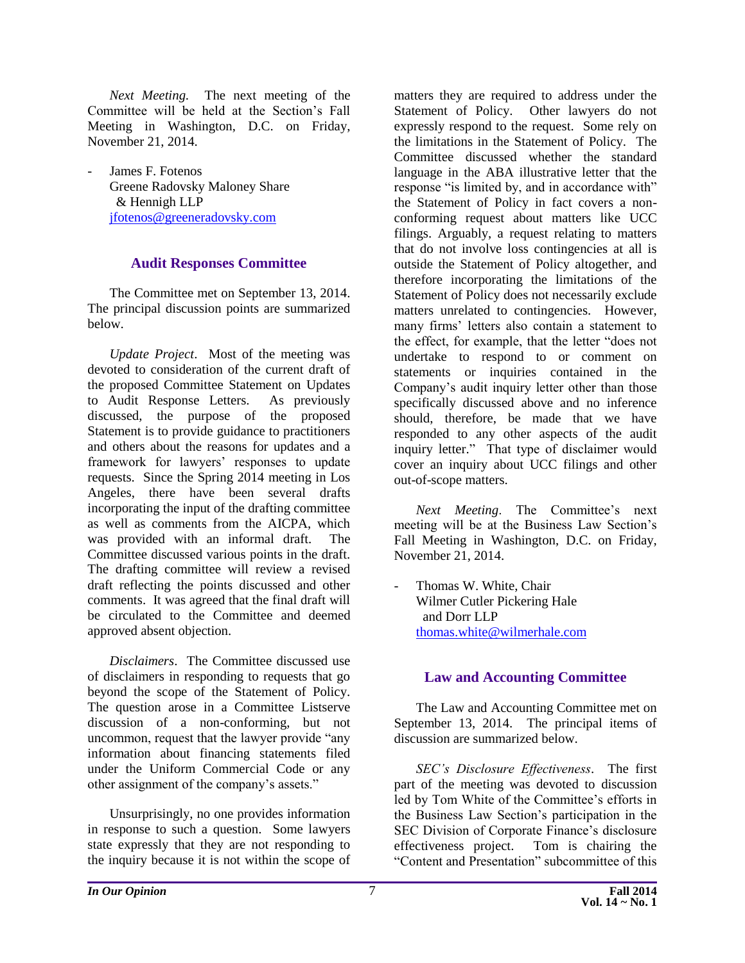*Next Meeting.* The next meeting of the Committee will be held at the Section's Fall Meeting in Washington, D.C. on Friday, November 21, 2014.

James F. Fotenos Greene Radovsky Maloney Share & Hennigh LLP [jfotenos@greeneradovsky.com](mailto:jfotenos@greeneradovsky.com)

#### **Audit Responses Committee**

<span id="page-7-0"></span>The Committee met on September 13, 2014. The principal discussion points are summarized below.

*Update Project*. Most of the meeting was devoted to consideration of the current draft of the proposed Committee Statement on Updates to Audit Response Letters. As previously discussed, the purpose of the proposed Statement is to provide guidance to practitioners and others about the reasons for updates and a framework for lawyers' responses to update requests. Since the Spring 2014 meeting in Los Angeles, there have been several drafts incorporating the input of the drafting committee as well as comments from the AICPA, which was provided with an informal draft. The Committee discussed various points in the draft. The drafting committee will review a revised draft reflecting the points discussed and other comments. It was agreed that the final draft will be circulated to the Committee and deemed approved absent objection.

*Disclaimers*. The Committee discussed use of disclaimers in responding to requests that go beyond the scope of the Statement of Policy. The question arose in a Committee Listserve discussion of a non-conforming, but not uncommon, request that the lawyer provide "any information about financing statements filed under the Uniform Commercial Code or any other assignment of the company's assets."

Unsurprisingly, no one provides information in response to such a question. Some lawyers state expressly that they are not responding to the inquiry because it is not within the scope of matters they are required to address under the Statement of Policy. Other lawyers do not expressly respond to the request. Some rely on the limitations in the Statement of Policy. The Committee discussed whether the standard language in the ABA illustrative letter that the response "is limited by, and in accordance with" the Statement of Policy in fact covers a nonconforming request about matters like UCC filings. Arguably, a request relating to matters that do not involve loss contingencies at all is outside the Statement of Policy altogether, and therefore incorporating the limitations of the Statement of Policy does not necessarily exclude matters unrelated to contingencies. However, many firms' letters also contain a statement to the effect, for example, that the letter "does not undertake to respond to or comment on statements or inquiries contained in the Company's audit inquiry letter other than those specifically discussed above and no inference should, therefore, be made that we have responded to any other aspects of the audit inquiry letter." That type of disclaimer would cover an inquiry about UCC filings and other out-of-scope matters.

*Next Meeting*. The Committee's next meeting will be at the Business Law Section's Fall Meeting in Washington, D.C. on Friday, November 21, 2014.

- Thomas W. White, Chair Wilmer Cutler Pickering Hale and Dorr LLP [thomas.white@wilmerhale.com](mailto:thomas.white@wilmerhale.com)

#### <span id="page-7-1"></span>**Law and Accounting Committee**

The Law and Accounting Committee met on September 13, 2014. The principal items of discussion are summarized below.

*SEC's Disclosure Effectiveness*. The first part of the meeting was devoted to discussion led by Tom White of the Committee's efforts in the Business Law Section's participation in the SEC Division of Corporate Finance's disclosure effectiveness project. Tom is chairing the "Content and Presentation" subcommittee of this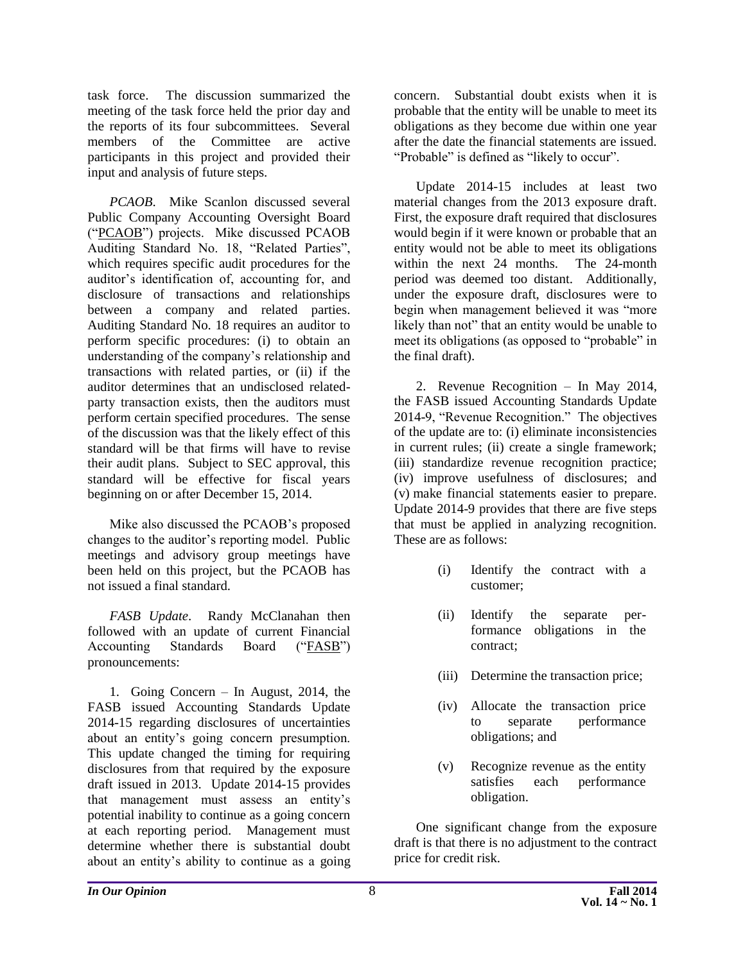task force. The discussion summarized the meeting of the task force held the prior day and the reports of its four subcommittees. Several members of the Committee are active participants in this project and provided their input and analysis of future steps.

*PCAOB*. Mike Scanlon discussed several Public Company Accounting Oversight Board ("PCAOB") projects. Mike discussed PCAOB Auditing Standard No. 18, "Related Parties", which requires specific audit procedures for the auditor's identification of, accounting for, and disclosure of transactions and relationships between a company and related parties. Auditing Standard No. 18 requires an auditor to perform specific procedures: (i) to obtain an understanding of the company's relationship and transactions with related parties, or (ii) if the auditor determines that an undisclosed relatedparty transaction exists, then the auditors must perform certain specified procedures. The sense of the discussion was that the likely effect of this standard will be that firms will have to revise their audit plans. Subject to SEC approval, this standard will be effective for fiscal years beginning on or after December 15, 2014.

Mike also discussed the PCAOB's proposed changes to the auditor's reporting model. Public meetings and advisory group meetings have been held on this project, but the PCAOB has not issued a final standard.

*FASB Update*. Randy McClanahan then followed with an update of current Financial Accounting Standards Board ("FASB") pronouncements:

1. Going Concern – In August, 2014, the FASB issued Accounting Standards Update 2014-15 regarding disclosures of uncertainties about an entity's going concern presumption. This update changed the timing for requiring disclosures from that required by the exposure draft issued in 2013. Update 2014-15 provides that management must assess an entity's potential inability to continue as a going concern at each reporting period. Management must determine whether there is substantial doubt about an entity's ability to continue as a going

concern. Substantial doubt exists when it is probable that the entity will be unable to meet its obligations as they become due within one year after the date the financial statements are issued. "Probable" is defined as "likely to occur".

Update 2014-15 includes at least two material changes from the 2013 exposure draft. First, the exposure draft required that disclosures would begin if it were known or probable that an entity would not be able to meet its obligations within the next 24 months. The 24-month period was deemed too distant. Additionally, under the exposure draft, disclosures were to begin when management believed it was "more likely than not" that an entity would be unable to meet its obligations (as opposed to "probable" in the final draft).

2. Revenue Recognition – In May 2014, the FASB issued Accounting Standards Update 2014-9, "Revenue Recognition." The objectives of the update are to: (i) eliminate inconsistencies in current rules; (ii) create a single framework; (iii) standardize revenue recognition practice; (iv) improve usefulness of disclosures; and (v) make financial statements easier to prepare. Update 2014-9 provides that there are five steps that must be applied in analyzing recognition. These are as follows:

- (i) Identify the contract with a customer;
- (ii) Identify the separate performance obligations in the contract;
- (iii) Determine the transaction price;
- (iv) Allocate the transaction price to separate performance obligations; and
- (v) Recognize revenue as the entity satisfies each performance obligation.

One significant change from the exposure draft is that there is no adjustment to the contract price for credit risk.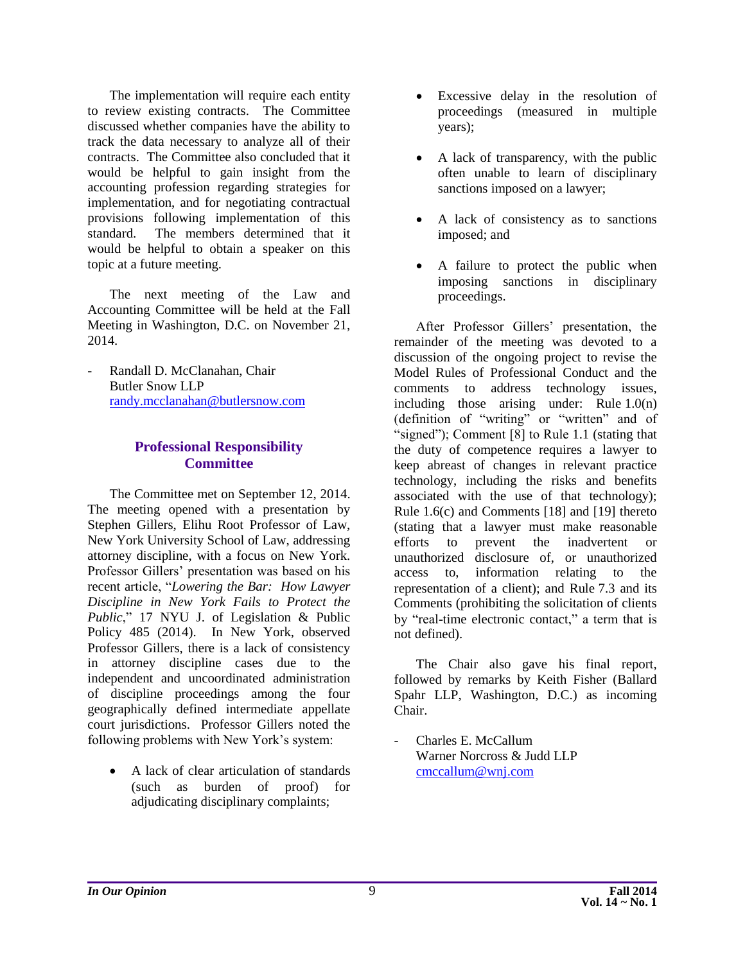The implementation will require each entity to review existing contracts. The Committee discussed whether companies have the ability to track the data necessary to analyze all of their contracts. The Committee also concluded that it would be helpful to gain insight from the accounting profession regarding strategies for implementation, and for negotiating contractual provisions following implementation of this standard. The members determined that it would be helpful to obtain a speaker on this topic at a future meeting.

The next meeting of the Law and Accounting Committee will be held at the Fall Meeting in Washington, D.C. on November 21, 2014.

Randall D. McClanahan, Chair Butler Snow LLP [randy.mcclanahan@butlersnow.com](mailto:randy.mcclanahan@butlersnow.com)

#### <span id="page-9-0"></span>**Professional Responsibility Committee**

The Committee met on September 12, 2014. The meeting opened with a presentation by Stephen Gillers, Elihu Root Professor of Law, New York University School of Law, addressing attorney discipline, with a focus on New York. Professor Gillers' presentation was based on his recent article, "*Lowering the Bar: How Lawyer Discipline in New York Fails to Protect the Public*," 17 NYU J. of Legislation & Public Policy 485 (2014). In New York, observed Professor Gillers, there is a lack of consistency in attorney discipline cases due to the independent and uncoordinated administration of discipline proceedings among the four geographically defined intermediate appellate court jurisdictions. Professor Gillers noted the following problems with New York's system:

 A lack of clear articulation of standards (such as burden of proof) for adjudicating disciplinary complaints;

- Excessive delay in the resolution of proceedings (measured in multiple years);
- A lack of transparency, with the public often unable to learn of disciplinary sanctions imposed on a lawyer;
- A lack of consistency as to sanctions imposed; and
- A failure to protect the public when imposing sanctions in disciplinary proceedings.

After Professor Gillers' presentation, the remainder of the meeting was devoted to a discussion of the ongoing project to revise the Model Rules of Professional Conduct and the comments to address technology issues, including those arising under: Rule 1.0(n) (definition of "writing" or "written" and of "signed"); Comment [8] to Rule 1.1 (stating that the duty of competence requires a lawyer to keep abreast of changes in relevant practice technology, including the risks and benefits associated with the use of that technology); Rule 1.6(c) and Comments [18] and [19] thereto (stating that a lawyer must make reasonable efforts to prevent the inadvertent or unauthorized disclosure of, or unauthorized access to, information relating to the representation of a client); and Rule 7.3 and its Comments (prohibiting the solicitation of clients by "real-time electronic contact," a term that is not defined).

The Chair also gave his final report, followed by remarks by Keith Fisher (Ballard Spahr LLP, Washington, D.C.) as incoming Chair.

- Charles E. McCallum Warner Norcross & Judd LLP [cmccallum@wnj.com](mailto:cmccallum@wnj.com)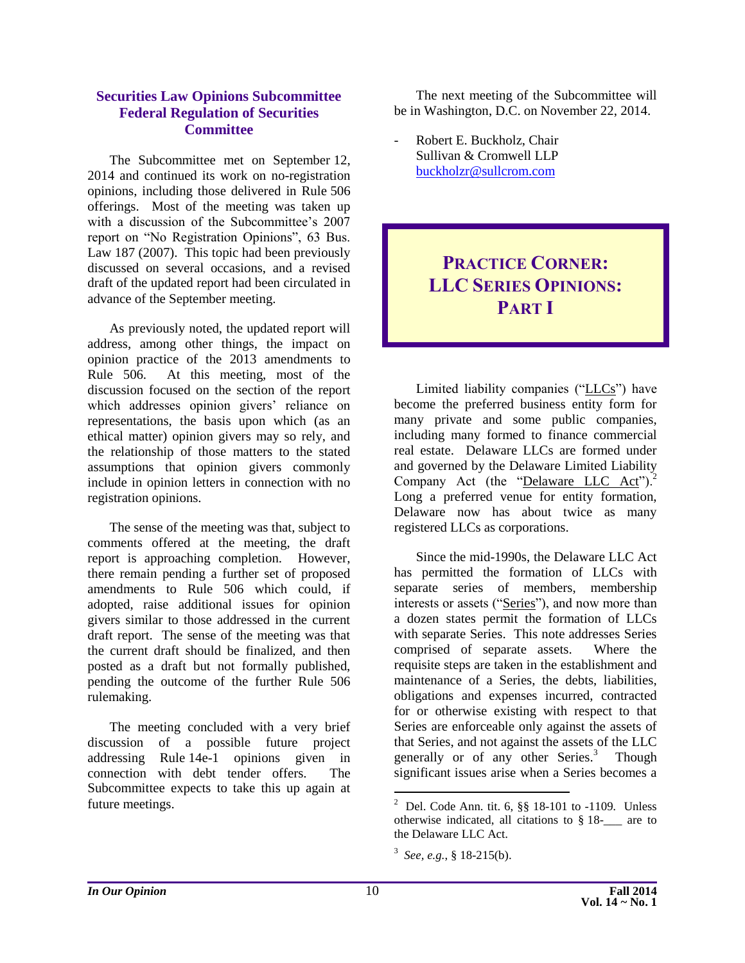#### <span id="page-10-0"></span>**Securities Law Opinions Subcommittee Federal Regulation of Securities Committee**

The Subcommittee met on September 12, 2014 and continued its work on no-registration opinions, including those delivered in Rule 506 offerings. Most of the meeting was taken up with a discussion of the Subcommittee's 2007 report on "No Registration Opinions", 63 Bus. Law 187 (2007). This topic had been previously discussed on several occasions, and a revised draft of the updated report had been circulated in advance of the September meeting.

As previously noted, the updated report will address, among other things, the impact on opinion practice of the 2013 amendments to Rule 506. At this meeting, most of the discussion focused on the section of the report which addresses opinion givers' reliance on representations, the basis upon which (as an ethical matter) opinion givers may so rely, and the relationship of those matters to the stated assumptions that opinion givers commonly include in opinion letters in connection with no registration opinions.

The sense of the meeting was that, subject to comments offered at the meeting, the draft report is approaching completion. However, there remain pending a further set of proposed amendments to Rule 506 which could, if adopted, raise additional issues for opinion givers similar to those addressed in the current draft report. The sense of the meeting was that the current draft should be finalized, and then posted as a draft but not formally published, pending the outcome of the further Rule 506 rulemaking.

The meeting concluded with a very brief discussion of a possible future project addressing Rule 14e-1 opinions given in connection with debt tender offers. The Subcommittee expects to take this up again at future meetings.

The next meeting of the Subcommittee will be in Washington, D.C. on November 22, 2014.

- Robert E. Buckholz, Chair Sullivan & Cromwell LLP [buckholzr@sullcrom.com](mailto:buckholzr@sullcrom.com)

# <span id="page-10-1"></span>**PRACTICE CORNER: LLC SERIES OPINIONS: PART I**

Limited liability companies ("LLCs") have become the preferred business entity form for many private and some public companies, including many formed to finance commercial real estate. Delaware LLCs are formed under and governed by the Delaware Limited Liability Company Act (the "Delaware LLC Act").<sup>2</sup> Long a preferred venue for entity formation, Delaware now has about twice as many registered LLCs as corporations.

Since the mid-1990s, the Delaware LLC Act has permitted the formation of LLCs with separate series of members, membership interests or assets ("Series"), and now more than a dozen states permit the formation of LLCs with separate Series. This note addresses Series comprised of separate assets. Where the requisite steps are taken in the establishment and maintenance of a Series, the debts, liabilities, obligations and expenses incurred, contracted for or otherwise existing with respect to that Series are enforceable only against the assets of that Series, and not against the assets of the LLC generally or of any other Series.<sup>3</sup> Though significant issues arise when a Series becomes a

 2 Del. Code Ann. tit. 6, §§ 18-101 to -1109*.* Unless otherwise indicated, all citations to § 18-\_\_\_ are to the Delaware LLC Act.

<sup>&</sup>lt;sup>3</sup> See, e.g., § 18-215(b).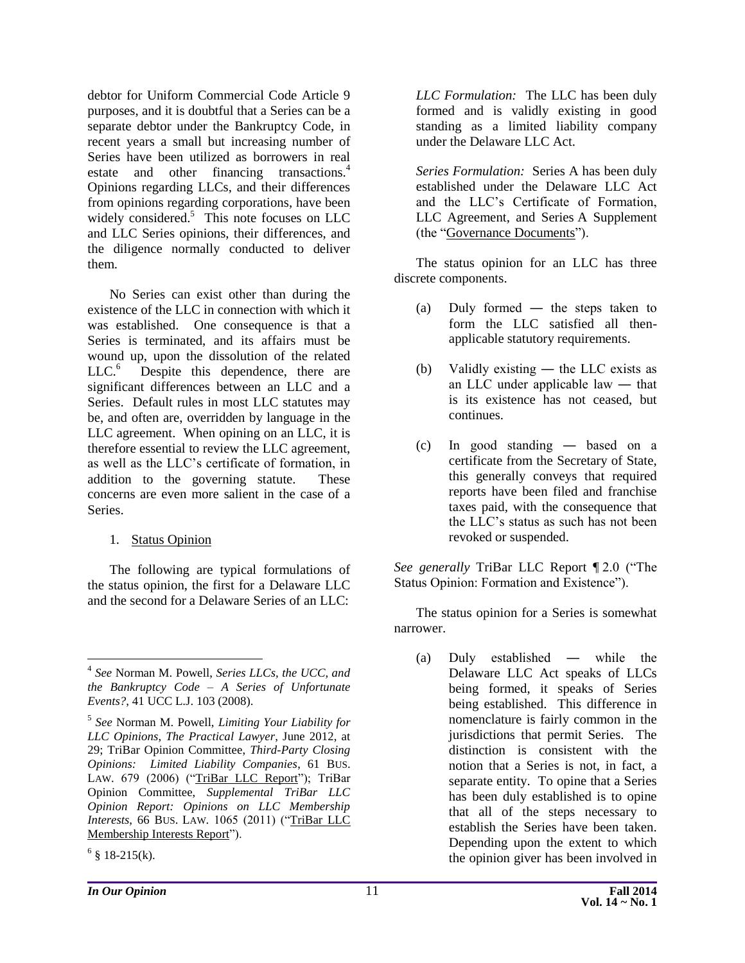debtor for Uniform Commercial Code Article 9 purposes, and it is doubtful that a Series can be a separate debtor under the Bankruptcy Code, in recent years a small but increasing number of Series have been utilized as borrowers in real estate and other financing transactions.<sup>4</sup> Opinions regarding LLCs, and their differences from opinions regarding corporations, have been widely considered.<sup>5</sup> This note focuses on LLC and LLC Series opinions, their differences, and the diligence normally conducted to deliver them.

No Series can exist other than during the existence of the LLC in connection with which it was established. One consequence is that a Series is terminated, and its affairs must be wound up, upon the dissolution of the related  $LLC.<sup>6</sup>$  Despite this dependence, there are significant differences between an LLC and a Series. Default rules in most LLC statutes may be, and often are, overridden by language in the LLC agreement. When opining on an LLC, it is therefore essential to review the LLC agreement, as well as the LLC's certificate of formation, in addition to the governing statute. These concerns are even more salient in the case of a Series.

#### 1. Status Opinion

The following are typical formulations of the status opinion, the first for a Delaware LLC and the second for a Delaware Series of an LLC:

 $\overline{a}$ 

*LLC Formulation:* The LLC has been duly formed and is validly existing in good standing as a limited liability company under the Delaware LLC Act.

*Series Formulation:* Series A has been duly established under the Delaware LLC Act and the LLC's Certificate of Formation, LLC Agreement, and Series A Supplement (the "Governance Documents").

The status opinion for an LLC has three discrete components.

- (a) Duly formed ― the steps taken to form the LLC satisfied all thenapplicable statutory requirements.
- (b) Validly existing ― the LLC exists as an LLC under applicable law ― that is its existence has not ceased, but continues.
- (c) In good standing ― based on a certificate from the Secretary of State, this generally conveys that required reports have been filed and franchise taxes paid, with the consequence that the LLC's status as such has not been revoked or suspended.

*See generally* TriBar LLC Report ¶ 2.0 ("The Status Opinion: Formation and Existence").

The status opinion for a Series is somewhat narrower.

(a) Duly established ― while the Delaware LLC Act speaks of LLCs being formed, it speaks of Series being established. This difference in nomenclature is fairly common in the jurisdictions that permit Series. The distinction is consistent with the notion that a Series is not, in fact, a separate entity. To opine that a Series has been duly established is to opine that all of the steps necessary to establish the Series have been taken. Depending upon the extent to which the opinion giver has been involved in

<sup>4</sup> *See* Norman M. Powell, *Series LLCs, the UCC, and the Bankruptcy Code – A Series of Unfortunate Events?*, 41 UCC L.J. 103 (2008).

<sup>5</sup> *See* Norman M. Powell, *Limiting Your Liability for LLC Opinions*, *The Practical Lawyer*, June 2012, at 29; TriBar Opinion Committee, *Third-Party Closing Opinions: Limited Liability Companies*, 61 BUS. LAW. 679 (2006) ("TriBar LLC Report"); TriBar Opinion Committee, *Supplemental TriBar LLC Opinion Report: Opinions on LLC Membership Interests*, 66 BUS. LAW. 1065 (2011) ("TriBar LLC Membership Interests Report").

 $6 \text{ }$ § 18-215(k).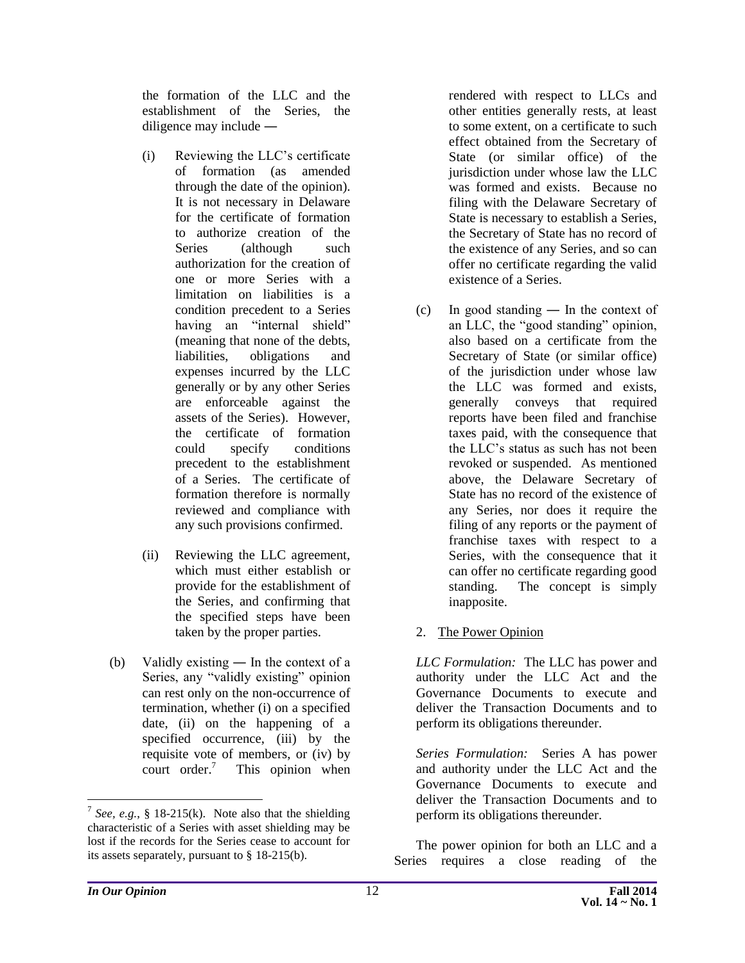the formation of the LLC and the establishment of the Series, the diligence may include ―

- (i) Reviewing the LLC's certificate of formation (as amended through the date of the opinion). It is not necessary in Delaware for the certificate of formation to authorize creation of the Series (although such authorization for the creation of one or more Series with a limitation on liabilities is a condition precedent to a Series having an "internal shield" (meaning that none of the debts, liabilities, obligations and expenses incurred by the LLC generally or by any other Series are enforceable against the assets of the Series). However, the certificate of formation could specify conditions precedent to the establishment of a Series. The certificate of formation therefore is normally reviewed and compliance with any such provisions confirmed.
- (ii) Reviewing the LLC agreement, which must either establish or provide for the establishment of the Series, and confirming that the specified steps have been taken by the proper parties.
- (b) Validly existing ― In the context of a Series, any "validly existing" opinion can rest only on the non-occurrence of termination, whether (i) on a specified date, (ii) on the happening of a specified occurrence, (iii) by the requisite vote of members, or (iv) by court order.<sup>7</sup> This opinion when

rendered with respect to LLCs and other entities generally rests, at least to some extent, on a certificate to such effect obtained from the Secretary of State (or similar office) of the jurisdiction under whose law the LLC was formed and exists. Because no filing with the Delaware Secretary of State is necessary to establish a Series, the Secretary of State has no record of the existence of any Series, and so can offer no certificate regarding the valid existence of a Series.

- (c) In good standing ― In the context of an LLC, the "good standing" opinion, also based on a certificate from the Secretary of State (or similar office) of the jurisdiction under whose law the LLC was formed and exists, generally conveys that required reports have been filed and franchise taxes paid, with the consequence that the LLC's status as such has not been revoked or suspended. As mentioned above, the Delaware Secretary of State has no record of the existence of any Series, nor does it require the filing of any reports or the payment of franchise taxes with respect to a Series, with the consequence that it can offer no certificate regarding good standing. The concept is simply inapposite.
- 2. The Power Opinion

*LLC Formulation:* The LLC has power and authority under the LLC Act and the Governance Documents to execute and deliver the Transaction Documents and to perform its obligations thereunder.

*Series Formulation:* Series A has power and authority under the LLC Act and the Governance Documents to execute and deliver the Transaction Documents and to perform its obligations thereunder.

The power opinion for both an LLC and a Series requires a close reading of the

 $\overline{a}$ 

<sup>&</sup>lt;sup>7</sup> See, e.g., § 18-215(k). Note also that the shielding characteristic of a Series with asset shielding may be lost if the records for the Series cease to account for its assets separately, pursuant to § 18-215(b).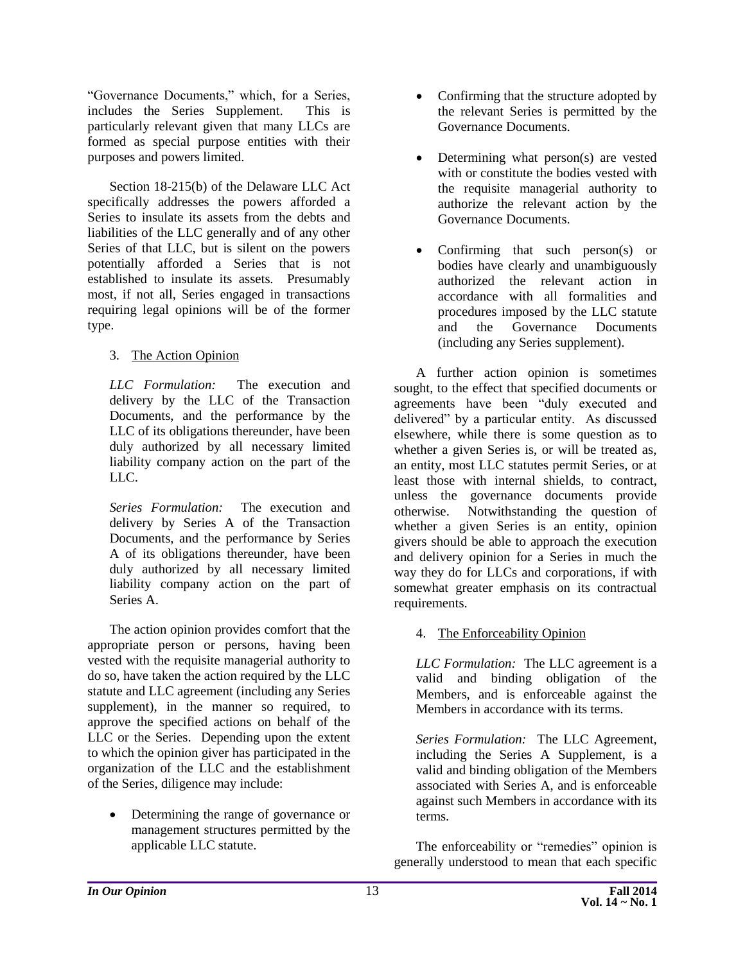"Governance Documents," which, for a Series, includes the Series Supplement. This is particularly relevant given that many LLCs are formed as special purpose entities with their purposes and powers limited.

Section 18-215(b) of the Delaware LLC Act specifically addresses the powers afforded a Series to insulate its assets from the debts and liabilities of the LLC generally and of any other Series of that LLC, but is silent on the powers potentially afforded a Series that is not established to insulate its assets. Presumably most, if not all, Series engaged in transactions requiring legal opinions will be of the former type.

3. The Action Opinion

*LLC Formulation:* The execution and delivery by the LLC of the Transaction Documents, and the performance by the LLC of its obligations thereunder, have been duly authorized by all necessary limited liability company action on the part of the LLC.

*Series Formulation:* The execution and delivery by Series A of the Transaction Documents, and the performance by Series A of its obligations thereunder, have been duly authorized by all necessary limited liability company action on the part of Series A.

The action opinion provides comfort that the appropriate person or persons, having been vested with the requisite managerial authority to do so, have taken the action required by the LLC statute and LLC agreement (including any Series supplement), in the manner so required, to approve the specified actions on behalf of the LLC or the Series. Depending upon the extent to which the opinion giver has participated in the organization of the LLC and the establishment of the Series, diligence may include:

• Determining the range of governance or management structures permitted by the applicable LLC statute.

- Confirming that the structure adopted by the relevant Series is permitted by the Governance Documents.
- Determining what person(s) are vested with or constitute the bodies vested with the requisite managerial authority to authorize the relevant action by the Governance Documents.
- Confirming that such person(s) or bodies have clearly and unambiguously authorized the relevant action in accordance with all formalities and procedures imposed by the LLC statute and the Governance Documents (including any Series supplement).

A further action opinion is sometimes sought, to the effect that specified documents or agreements have been "duly executed and delivered" by a particular entity. As discussed elsewhere, while there is some question as to whether a given Series is, or will be treated as, an entity, most LLC statutes permit Series, or at least those with internal shields, to contract, unless the governance documents provide otherwise. Notwithstanding the question of whether a given Series is an entity, opinion givers should be able to approach the execution and delivery opinion for a Series in much the way they do for LLCs and corporations, if with somewhat greater emphasis on its contractual requirements.

#### 4. The Enforceability Opinion

*LLC Formulation:* The LLC agreement is a valid and binding obligation of the Members, and is enforceable against the Members in accordance with its terms.

*Series Formulation:* The LLC Agreement, including the Series A Supplement, is a valid and binding obligation of the Members associated with Series A, and is enforceable against such Members in accordance with its terms.

The enforceability or "remedies" opinion is generally understood to mean that each specific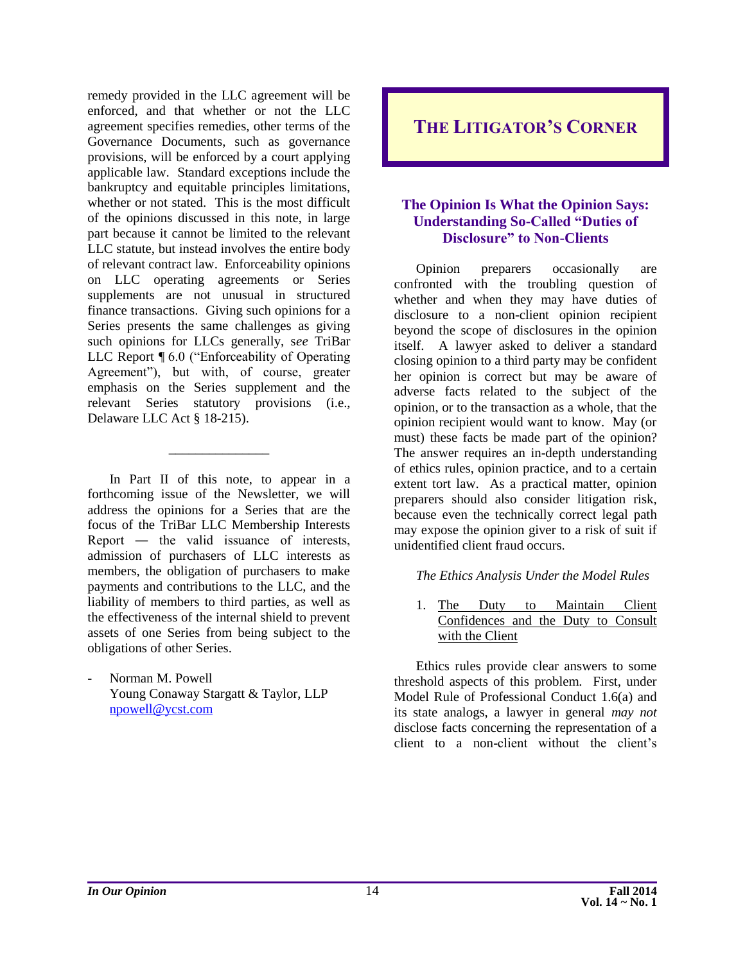remedy provided in the LLC agreement will be enforced, and that whether or not the LLC agreement specifies remedies, other terms of the Governance Documents, such as governance provisions, will be enforced by a court applying applicable law. Standard exceptions include the bankruptcy and equitable principles limitations, whether or not stated. This is the most difficult of the opinions discussed in this note, in large part because it cannot be limited to the relevant LLC statute, but instead involves the entire body of relevant contract law. Enforceability opinions on LLC operating agreements or Series supplements are not unusual in structured finance transactions. Giving such opinions for a Series presents the same challenges as giving such opinions for LLCs generally, s*ee* TriBar LLC Report ¶ 6.0 ("Enforceability of Operating Agreement"), but with, of course, greater emphasis on the Series supplement and the relevant Series statutory provisions (i.e., Delaware LLC Act § 18-215).

In Part II of this note, to appear in a forthcoming issue of the Newsletter, we will address the opinions for a Series that are the focus of the TriBar LLC Membership Interests Report ― the valid issuance of interests, admission of purchasers of LLC interests as members, the obligation of purchasers to make payments and contributions to the LLC, and the liability of members to third parties, as well as the effectiveness of the internal shield to prevent assets of one Series from being subject to the obligations of other Series.

\_\_\_\_\_\_\_\_\_\_\_\_\_\_\_

Norman M. Powell Young Conaway Stargatt & Taylor, LLP [npowell@ycst.com](mailto:npowell@ycst.com)

<span id="page-14-0"></span>**THE LITIGATOR'S CORNER**

#### <span id="page-14-1"></span>**The Opinion Is What the Opinion Says: Understanding So-Called "Duties of Disclosure" to Non-Clients**

Opinion preparers occasionally are confronted with the troubling question of whether and when they may have duties of disclosure to a non-client opinion recipient beyond the scope of disclosures in the opinion itself. A lawyer asked to deliver a standard closing opinion to a third party may be confident her opinion is correct but may be aware of adverse facts related to the subject of the opinion, or to the transaction as a whole, that the opinion recipient would want to know. May (or must) these facts be made part of the opinion? The answer requires an in-depth understanding of ethics rules, opinion practice, and to a certain extent tort law. As a practical matter, opinion preparers should also consider litigation risk, because even the technically correct legal path may expose the opinion giver to a risk of suit if unidentified client fraud occurs.

#### *The Ethics Analysis Under the Model Rules*

1. The Duty to Maintain Client Confidences and the Duty to Consult with the Client

Ethics rules provide clear answers to some threshold aspects of this problem. First, under Model Rule of Professional Conduct 1.6(a) and its state analogs, a lawyer in general *may not* disclose facts concerning the representation of a client to a non-client without the client's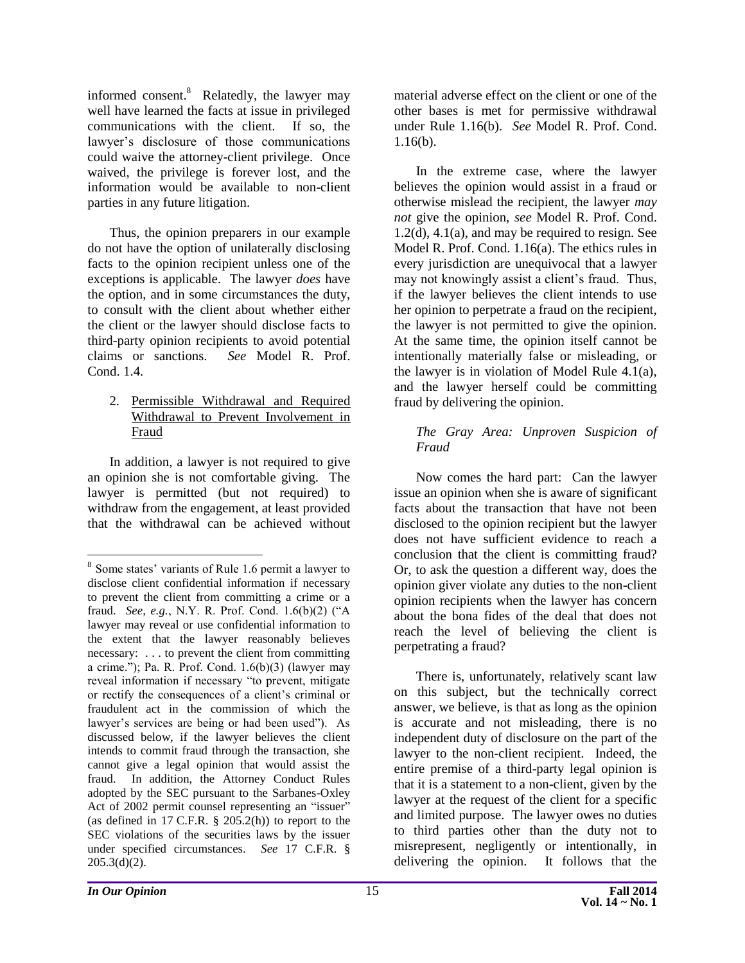informed consent.<sup>8</sup> Relatedly, the lawyer may well have learned the facts at issue in privileged communications with the client. If so, the lawyer's disclosure of those communications could waive the attorney-client privilege. Once waived, the privilege is forever lost, and the information would be available to non-client parties in any future litigation.

Thus, the opinion preparers in our example do not have the option of unilaterally disclosing facts to the opinion recipient unless one of the exceptions is applicable. The lawyer *does* have the option, and in some circumstances the duty, to consult with the client about whether either the client or the lawyer should disclose facts to third-party opinion recipients to avoid potential claims or sanctions. *See* Model R. Prof. Cond. 1.4.

#### 2. Permissible Withdrawal and Required Withdrawal to Prevent Involvement in Fraud

In addition, a lawyer is not required to give an opinion she is not comfortable giving. The lawyer is permitted (but not required) to withdraw from the engagement, at least provided that the withdrawal can be achieved without

material adverse effect on the client or one of the other bases is met for permissive withdrawal under Rule 1.16(b). *See* Model R. Prof. Cond. 1.16(b).

In the extreme case, where the lawyer believes the opinion would assist in a fraud or otherwise mislead the recipient, the lawyer *may not* give the opinion, *see* Model R. Prof. Cond. 1.2(d), 4.1(a), and may be required to resign. See Model R. Prof. Cond. 1.16(a). The ethics rules in every jurisdiction are unequivocal that a lawyer may not knowingly assist a client's fraud. Thus, if the lawyer believes the client intends to use her opinion to perpetrate a fraud on the recipient, the lawyer is not permitted to give the opinion. At the same time, the opinion itself cannot be intentionally materially false or misleading, or the lawyer is in violation of Model Rule 4.1(a), and the lawyer herself could be committing fraud by delivering the opinion.

#### *The Gray Area: Unproven Suspicion of Fraud*

Now comes the hard part: Can the lawyer issue an opinion when she is aware of significant facts about the transaction that have not been disclosed to the opinion recipient but the lawyer does not have sufficient evidence to reach a conclusion that the client is committing fraud? Or, to ask the question a different way, does the opinion giver violate any duties to the non-client opinion recipients when the lawyer has concern about the bona fides of the deal that does not reach the level of believing the client is perpetrating a fraud?

There is, unfortunately, relatively scant law on this subject, but the technically correct answer, we believe, is that as long as the opinion is accurate and not misleading, there is no independent duty of disclosure on the part of the lawyer to the non-client recipient. Indeed, the entire premise of a third-party legal opinion is that it is a statement to a non-client, given by the lawyer at the request of the client for a specific and limited purpose. The lawyer owes no duties to third parties other than the duty not to misrepresent, negligently or intentionally, in delivering the opinion. It follows that the

 $\overline{a}$ 

<sup>&</sup>lt;sup>8</sup> Some states' variants of Rule 1.6 permit a lawyer to disclose client confidential information if necessary to prevent the client from committing a crime or a fraud. *See, e.g.*, N.Y. R. Prof. Cond. 1.6(b)(2) ("A lawyer may reveal or use confidential information to the extent that the lawyer reasonably believes necessary: . . . to prevent the client from committing a crime."); Pa. R. Prof. Cond.  $1.6(b)(3)$  (lawyer may reveal information if necessary "to prevent, mitigate or rectify the consequences of a client's criminal or fraudulent act in the commission of which the lawyer's services are being or had been used"). As discussed below, if the lawyer believes the client intends to commit fraud through the transaction, she cannot give a legal opinion that would assist the fraud. In addition, the Attorney Conduct Rules adopted by the SEC pursuant to the Sarbanes-Oxley Act of 2002 permit counsel representing an "issuer" (as defined in 17 C.F.R.  $\S$  205.2(h)) to report to the SEC violations of the securities laws by the issuer under specified circumstances. *See* 17 C.F.R. §  $205.3(d)(2)$ .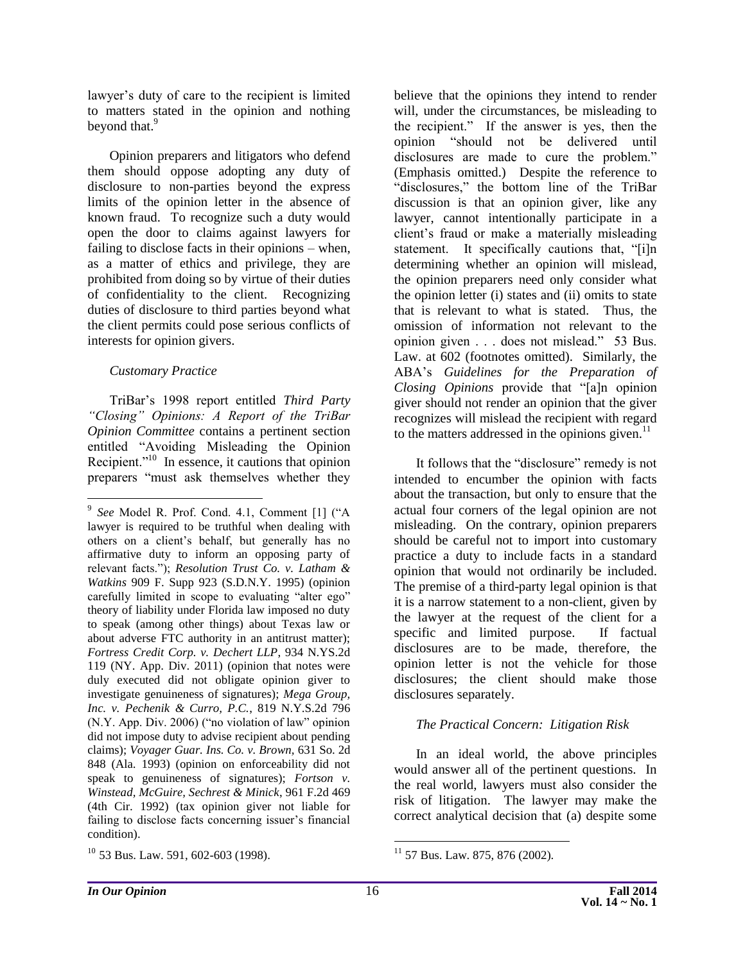lawyer's duty of care to the recipient is limited to matters stated in the opinion and nothing beyond that.<sup>9</sup>

Opinion preparers and litigators who defend them should oppose adopting any duty of disclosure to non-parties beyond the express limits of the opinion letter in the absence of known fraud. To recognize such a duty would open the door to claims against lawyers for failing to disclose facts in their opinions – when, as a matter of ethics and privilege, they are prohibited from doing so by virtue of their duties of confidentiality to the client. Recognizing duties of disclosure to third parties beyond what the client permits could pose serious conflicts of interests for opinion givers.

#### *Customary Practice*

 $\overline{a}$ 

TriBar's 1998 report entitled *Third Party "Closing" Opinions: A Report of the TriBar Opinion Committee* contains a pertinent section entitled "Avoiding Misleading the Opinion Recipient."<sup>10</sup> In essence, it cautions that opinion preparers "must ask themselves whether they

believe that the opinions they intend to render will, under the circumstances, be misleading to the recipient." If the answer is yes, then the opinion "should not be delivered until disclosures are made to cure the problem." (Emphasis omitted.)Despite the reference to "disclosures," the bottom line of the TriBar discussion is that an opinion giver, like any lawyer, cannot intentionally participate in a client's fraud or make a materially misleading statement. It specifically cautions that, "[i]n determining whether an opinion will mislead, the opinion preparers need only consider what the opinion letter (i) states and (ii) omits to state that is relevant to what is stated. Thus, the omission of information not relevant to the opinion given . . . does not mislead." 53 Bus. Law. at 602 (footnotes omitted). Similarly, the ABA's *Guidelines for the Preparation of Closing Opinions* provide that "[a]n opinion giver should not render an opinion that the giver recognizes will mislead the recipient with regard to the matters addressed in the opinions given. $11$ 

It follows that the "disclosure" remedy is not intended to encumber the opinion with facts about the transaction, but only to ensure that the actual four corners of the legal opinion are not misleading. On the contrary, opinion preparers should be careful not to import into customary practice a duty to include facts in a standard opinion that would not ordinarily be included. The premise of a third-party legal opinion is that it is a narrow statement to a non-client, given by the lawyer at the request of the client for a specific and limited purpose. If factual disclosures are to be made, therefore, the opinion letter is not the vehicle for those disclosures; the client should make those disclosures separately.

#### *The Practical Concern: Litigation Risk*

In an ideal world, the above principles would answer all of the pertinent questions. In the real world, lawyers must also consider the risk of litigation. The lawyer may make the correct analytical decision that (a) despite some

<sup>9</sup> *See* Model R. Prof. Cond. 4.1, Comment [1] ("A lawyer is required to be truthful when dealing with others on a client's behalf, but generally has no affirmative duty to inform an opposing party of relevant facts."); *Resolution Trust Co. v. Latham & Watkins* 909 F. Supp 923 (S.D.N.Y. 1995) (opinion carefully limited in scope to evaluating "alter ego" theory of liability under Florida law imposed no duty to speak (among other things) about Texas law or about adverse FTC authority in an antitrust matter); *Fortress Credit Corp. v. Dechert LLP*, 934 N.YS.2d 119 (NY. App. Div. 2011) (opinion that notes were duly executed did not obligate opinion giver to investigate genuineness of signatures); *Mega Group, Inc. v. Pechenik & Curro, P.C.*, 819 N.Y.S.2d 796 (N.Y. App. Div. 2006) ("no violation of law" opinion did not impose duty to advise recipient about pending claims); *Voyager Guar. Ins. Co. v. Brown,* 631 So. 2d 848 (Ala. 1993) (opinion on enforceability did not speak to genuineness of signatures); *Fortson v. Winstead, McGuire, Sechrest & Minick*, 961 F.2d 469 (4th Cir. 1992) (tax opinion giver not liable for failing to disclose facts concerning issuer's financial condition).

 $10$  53 Bus. Law. 591, 602-603 (1998).

 $\overline{a}$ <sup>11</sup> 57 Bus. Law. 875, 876 (2002).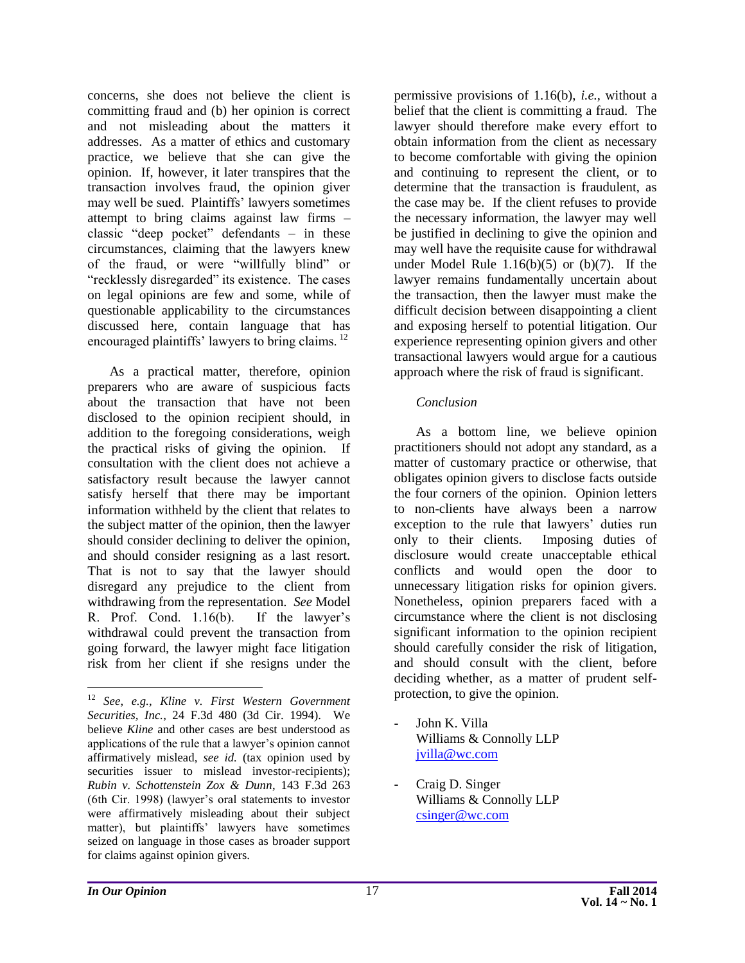concerns, she does not believe the client is committing fraud and (b) her opinion is correct and not misleading about the matters it addresses. As a matter of ethics and customary practice, we believe that she can give the opinion. If, however, it later transpires that the transaction involves fraud, the opinion giver may well be sued. Plaintiffs' lawyers sometimes attempt to bring claims against law firms – classic "deep pocket" defendants – in these circumstances, claiming that the lawyers knew of the fraud, or were "willfully blind" or "recklessly disregarded" its existence. The cases on legal opinions are few and some, while of questionable applicability to the circumstances discussed here, contain language that has encouraged plaintiffs' lawyers to bring claims.<sup>12</sup>

As a practical matter, therefore, opinion preparers who are aware of suspicious facts about the transaction that have not been disclosed to the opinion recipient should, in addition to the foregoing considerations, weigh the practical risks of giving the opinion. If consultation with the client does not achieve a satisfactory result because the lawyer cannot satisfy herself that there may be important information withheld by the client that relates to the subject matter of the opinion, then the lawyer should consider declining to deliver the opinion, and should consider resigning as a last resort. That is not to say that the lawyer should disregard any prejudice to the client from withdrawing from the representation. *See* Model R. Prof. Cond. 1.16(b). If the lawyer's withdrawal could prevent the transaction from going forward, the lawyer might face litigation risk from her client if she resigns under the

permissive provisions of 1.16(b), *i.e.,* without a belief that the client is committing a fraud. The lawyer should therefore make every effort to obtain information from the client as necessary to become comfortable with giving the opinion and continuing to represent the client, or to determine that the transaction is fraudulent, as the case may be. If the client refuses to provide the necessary information, the lawyer may well be justified in declining to give the opinion and may well have the requisite cause for withdrawal under Model Rule  $1.16(b)(5)$  or  $(b)(7)$ . If the lawyer remains fundamentally uncertain about the transaction, then the lawyer must make the difficult decision between disappointing a client and exposing herself to potential litigation. Our experience representing opinion givers and other transactional lawyers would argue for a cautious approach where the risk of fraud is significant.

#### *Conclusion*

As a bottom line, we believe opinion practitioners should not adopt any standard, as a matter of customary practice or otherwise, that obligates opinion givers to disclose facts outside the four corners of the opinion. Opinion letters to non-clients have always been a narrow exception to the rule that lawyers' duties run only to their clients. Imposing duties of disclosure would create unacceptable ethical conflicts and would open the door to unnecessary litigation risks for opinion givers. Nonetheless, opinion preparers faced with a circumstance where the client is not disclosing significant information to the opinion recipient should carefully consider the risk of litigation, and should consult with the client, before deciding whether, as a matter of prudent selfprotection, to give the opinion.

- John K. Villa Williams & Connolly LLP [jvilla@wc.com](mailto:jvilla@wc.com)
- Craig D. Singer Williams & Connolly LLP [csinger@wc.com](mailto:csinger@wc.com)

 $\overline{a}$ 

<sup>12</sup> *See*, *e.g.*, *Kline v. First Western Government Securities, Inc.*, 24 F.3d 480 (3d Cir. 1994). We believe *Kline* and other cases are best understood as applications of the rule that a lawyer's opinion cannot affirmatively mislead, *see id.* (tax opinion used by securities issuer to mislead investor-recipients); *Rubin v. Schottenstein Zox & Dunn*, 143 F.3d 263 (6th Cir. 1998) (lawyer's oral statements to investor were affirmatively misleading about their subject matter), but plaintiffs' lawyers have sometimes seized on language in those cases as broader support for claims against opinion givers.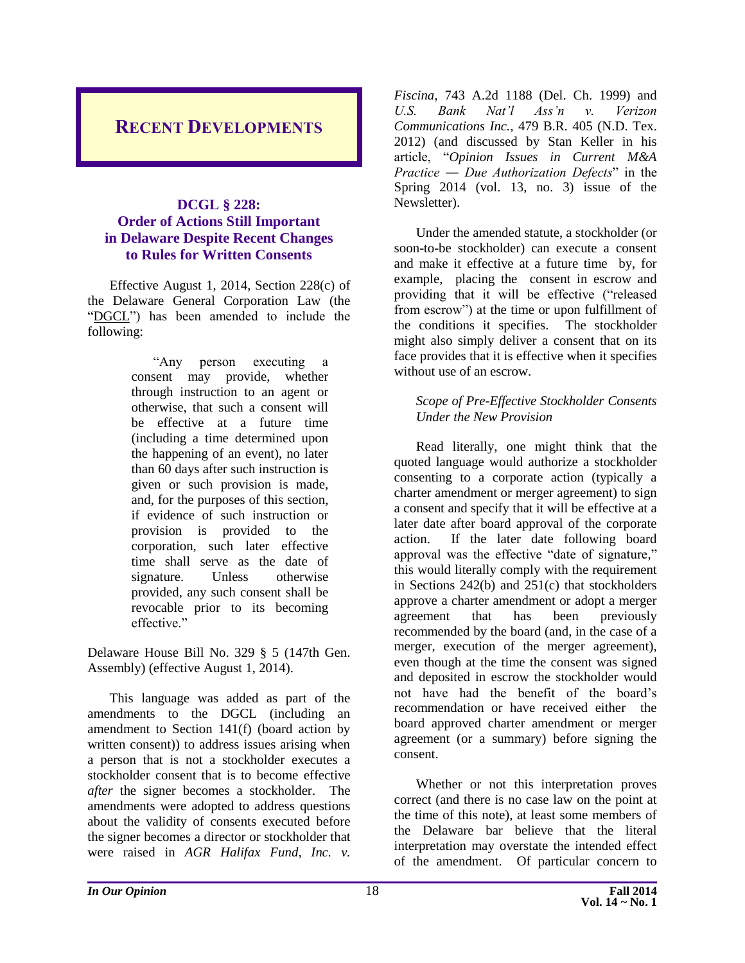# <span id="page-18-0"></span>**RECENT DEVELOPMENTS**

#### <span id="page-18-1"></span>**DCGL § 228: Order of Actions Still Important in Delaware Despite Recent Changes to Rules for Written Consents**

Effective August 1, 2014, Section 228(c) of the Delaware General Corporation Law (the "DGCL") has been amended to include the following:

> "Any person executing a consent may provide, whether through instruction to an agent or otherwise, that such a consent will be effective at a future time (including a time determined upon the happening of an event), no later than 60 days after such instruction is given or such provision is made, and, for the purposes of this section, if evidence of such instruction or provision is provided to the corporation, such later effective time shall serve as the date of signature. Unless otherwise provided, any such consent shall be revocable prior to its becoming effective."

Delaware House Bill No. 329 § 5 (147th Gen. Assembly) (effective August 1, 2014).

This language was added as part of the amendments to the DGCL (including an amendment to Section 141(f) (board action by written consent)) to address issues arising when a person that is not a stockholder executes a stockholder consent that is to become effective *after* the signer becomes a stockholder. The amendments were adopted to address questions about the validity of consents executed before the signer becomes a director or stockholder that were raised in *AGR Halifax Fund, Inc. v.* 

*Fiscina*, 743 A.2d 1188 (Del. Ch. 1999) and *U.S. Bank Nat'l Ass'n v. Verizon Communications Inc.*, 479 B.R. 405 (N.D. Tex. 2012) (and discussed by Stan Keller in his article, "*Opinion Issues in Current M&A Practice ― Due Authorization Defects*" in the Spring 2014 (vol. 13, no. 3) issue of the Newsletter).

Under the amended statute, a stockholder (or soon-to-be stockholder) can execute a consent and make it effective at a future time by, for example, placing the consent in escrow and providing that it will be effective ("released from escrow") at the time or upon fulfillment of the conditions it specifies. The stockholder might also simply deliver a consent that on its face provides that it is effective when it specifies without use of an escrow.

#### *Scope of Pre-Effective Stockholder Consents Under the New Provision*

Read literally, one might think that the quoted language would authorize a stockholder consenting to a corporate action (typically a charter amendment or merger agreement) to sign a consent and specify that it will be effective at a later date after board approval of the corporate action. If the later date following board approval was the effective "date of signature," this would literally comply with the requirement in Sections 242(b) and 251(c) that stockholders approve a charter amendment or adopt a merger agreement that has been previously recommended by the board (and, in the case of a merger, execution of the merger agreement), even though at the time the consent was signed and deposited in escrow the stockholder would not have had the benefit of the board's recommendation or have received either the board approved charter amendment or merger agreement (or a summary) before signing the consent.

Whether or not this interpretation proves correct (and there is no case law on the point at the time of this note), at least some members of the Delaware bar believe that the literal interpretation may overstate the intended effect of the amendment. Of particular concern to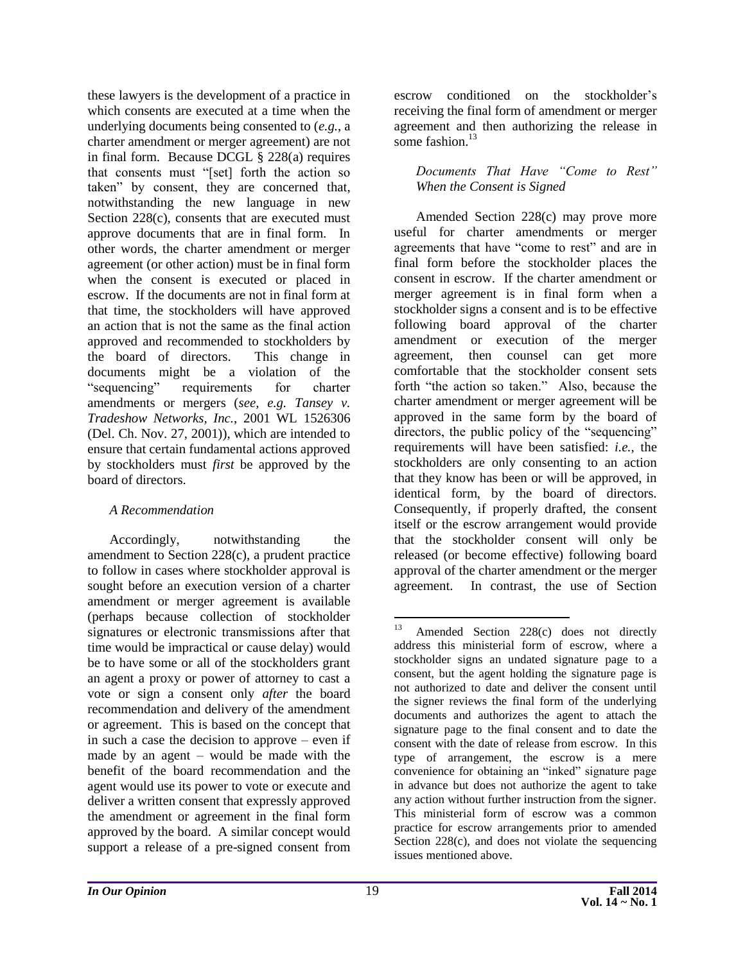these lawyers is the development of a practice in which consents are executed at a time when the underlying documents being consented to (*e.g.*, a charter amendment or merger agreement) are not in final form. Because DCGL § 228(a) requires that consents must "[set] forth the action so taken" by consent, they are concerned that, notwithstanding the new language in new Section 228(c), consents that are executed must approve documents that are in final form. In other words, the charter amendment or merger agreement (or other action) must be in final form when the consent is executed or placed in escrow. If the documents are not in final form at that time, the stockholders will have approved an action that is not the same as the final action approved and recommended to stockholders by the board of directors. This change in documents might be a violation of the "sequencing" requirements for charter amendments or mergers (*see, e.g. Tansey v. Tradeshow Networks, Inc.*, 2001 WL 1526306 (Del. Ch. Nov. 27, 2001)), which are intended to ensure that certain fundamental actions approved by stockholders must *first* be approved by the board of directors.

#### *A Recommendation*

Accordingly, notwithstanding the amendment to Section 228(c), a prudent practice to follow in cases where stockholder approval is sought before an execution version of a charter amendment or merger agreement is available (perhaps because collection of stockholder signatures or electronic transmissions after that time would be impractical or cause delay) would be to have some or all of the stockholders grant an agent a proxy or power of attorney to cast a vote or sign a consent only *after* the board recommendation and delivery of the amendment or agreement. This is based on the concept that in such a case the decision to approve – even if made by an agent – would be made with the benefit of the board recommendation and the agent would use its power to vote or execute and deliver a written consent that expressly approved the amendment or agreement in the final form approved by the board. A similar concept would support a release of a pre-signed consent from

escrow conditioned on the stockholder's receiving the final form of amendment or merger agreement and then authorizing the release in some fashion.<sup>13</sup>

*Documents That Have "Come to Rest" When the Consent is Signed*

Amended Section 228(c) may prove more useful for charter amendments or merger agreements that have "come to rest" and are in final form before the stockholder places the consent in escrow. If the charter amendment or merger agreement is in final form when a stockholder signs a consent and is to be effective following board approval of the charter amendment or execution of the merger agreement, then counsel can get more comfortable that the stockholder consent sets forth "the action so taken." Also, because the charter amendment or merger agreement will be approved in the same form by the board of directors, the public policy of the "sequencing" requirements will have been satisfied: *i.e.*, the stockholders are only consenting to an action that they know has been or will be approved, in identical form, by the board of directors. Consequently, if properly drafted, the consent itself or the escrow arrangement would provide that the stockholder consent will only be released (or become effective) following board approval of the charter amendment or the merger agreement. In contrast, the use of Section

<sup>13</sup> Amended Section 228(c) does not directly address this ministerial form of escrow, where a stockholder signs an undated signature page to a consent, but the agent holding the signature page is not authorized to date and deliver the consent until the signer reviews the final form of the underlying documents and authorizes the agent to attach the signature page to the final consent and to date the consent with the date of release from escrow. In this type of arrangement, the escrow is a mere convenience for obtaining an "inked" signature page in advance but does not authorize the agent to take any action without further instruction from the signer. This ministerial form of escrow was a common practice for escrow arrangements prior to amended Section 228(c), and does not violate the sequencing issues mentioned above.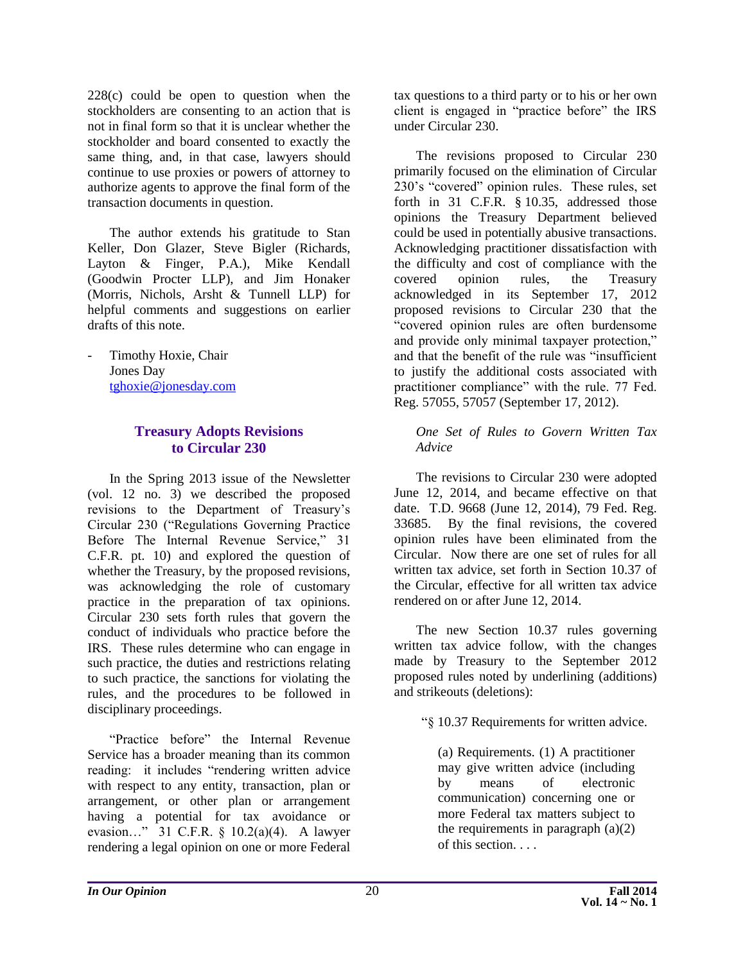228(c) could be open to question when the stockholders are consenting to an action that is not in final form so that it is unclear whether the stockholder and board consented to exactly the same thing, and, in that case, lawyers should continue to use proxies or powers of attorney to authorize agents to approve the final form of the transaction documents in question.

The author extends his gratitude to Stan Keller, Don Glazer, Steve Bigler (Richards, Layton & Finger, P.A.), Mike Kendall (Goodwin Procter LLP), and Jim Honaker (Morris, Nichols, Arsht & Tunnell LLP) for helpful comments and suggestions on earlier drafts of this note.

<span id="page-20-0"></span>Timothy Hoxie, Chair Jones Day [tghoxie@jonesday.com](mailto:tghoxie@jonesday.com)

#### **Treasury Adopts Revisions to Circular 230**

In the Spring 2013 issue of the Newsletter (vol. 12 no. 3) we described the proposed revisions to the Department of Treasury's Circular 230 ("Regulations Governing Practice Before The Internal Revenue Service," 31 C.F.R. pt. 10) and explored the question of whether the Treasury, by the proposed revisions, was acknowledging the role of customary practice in the preparation of tax opinions. Circular 230 sets forth rules that govern the conduct of individuals who practice before the IRS. These rules determine who can engage in such practice, the duties and restrictions relating to such practice, the sanctions for violating the rules, and the procedures to be followed in disciplinary proceedings.

"Practice before" the Internal Revenue Service has a broader meaning than its common reading: it includes "rendering written advice with respect to any entity, transaction, plan or arrangement, or other plan or arrangement having a potential for tax avoidance or evasion…" 31 C.F.R. § 10.2(a)(4). A lawyer rendering a legal opinion on one or more Federal

tax questions to a third party or to his or her own client is engaged in "practice before" the IRS under Circular 230.

The revisions proposed to Circular 230 primarily focused on the elimination of Circular 230's "covered" opinion rules. These rules, set forth in 31 C.F.R. § 10.35, addressed those opinions the Treasury Department believed could be used in potentially abusive transactions. Acknowledging practitioner dissatisfaction with the difficulty and cost of compliance with the covered opinion rules, the Treasury acknowledged in its September 17, 2012 proposed revisions to Circular 230 that the "covered opinion rules are often burdensome and provide only minimal taxpayer protection," and that the benefit of the rule was "insufficient to justify the additional costs associated with practitioner compliance" with the rule. 77 Fed. Reg. 57055, 57057 (September 17, 2012).

#### *One Set of Rules to Govern Written Tax Advice*

The revisions to Circular 230 were adopted June 12, 2014, and became effective on that date. T.D. 9668 (June 12, 2014), 79 Fed. Reg. 33685. By the final revisions, the covered opinion rules have been eliminated from the Circular. Now there are one set of rules for all written tax advice, set forth in Section 10.37 of the Circular, effective for all written tax advice rendered on or after June 12, 2014.

The new Section 10.37 rules governing written tax advice follow, with the changes made by Treasury to the September 2012 proposed rules noted by underlining (additions) and strikeouts (deletions):

"§ 10.37 Requirements for written advice.

(a) Requirements. (1) A practitioner may give written advice (including by means of electronic communication) concerning one or more Federal tax matters subject to the requirements in paragraph  $(a)(2)$ of this section. . . .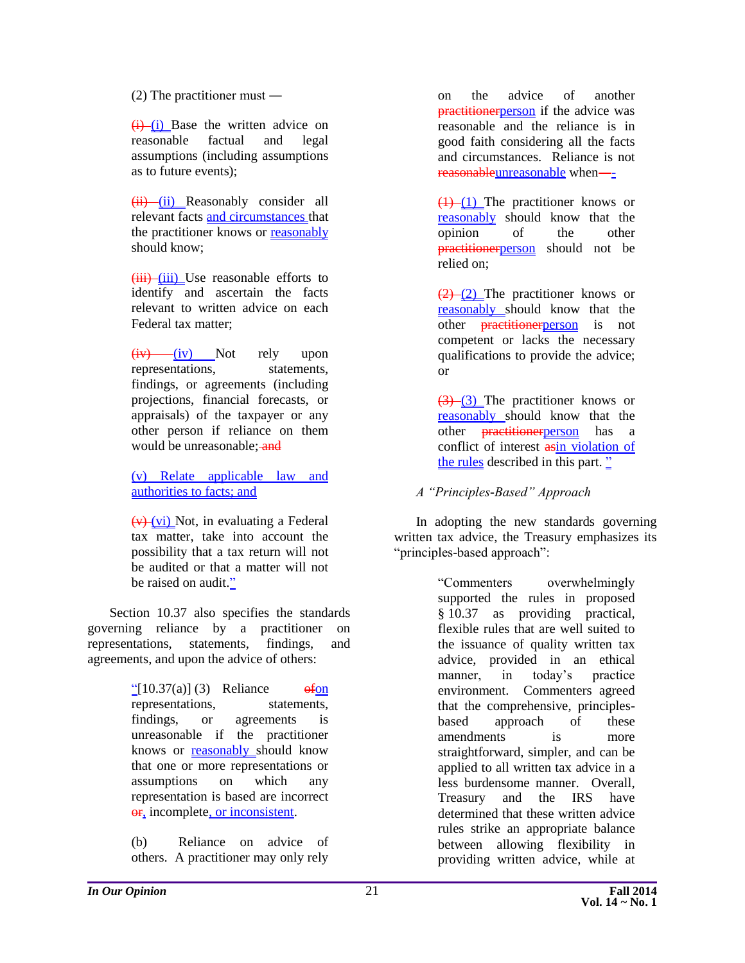#### (2) The practitioner must ―

 $(i)$  (i) Base the written advice on reasonable factual and legal assumptions (including assumptions as to future events);

 $(ii)$  (ii) Reasonably consider all relevant facts and circumstances that the practitioner knows or reasonably should know;

 $(iii)$  (iii) Use reasonable efforts to identify and ascertain the facts relevant to written advice on each Federal tax matter;

 $(iv)$  (iv) Not rely upon representations, statements, findings, or agreements (including projections, financial forecasts, or appraisals) of the taxpayer or any other person if reliance on them would be unreasonable: and

(v) Relate applicable law and authorities to facts; and

 $(v)$  (vi) Not, in evaluating a Federal tax matter, take into account the possibility that a tax return will not be audited or that a matter will not be raised on audit."

Section 10.37 also specifies the standards governing reliance by a practitioner on representations, statements, findings, and agreements, and upon the advice of others:

> $\frac{10!}{2[10.37(a)]}$  (3) Reliance of on representations, statements, findings, or agreements is unreasonable if the practitioner knows or **reasonably** should know that one or more representations or assumptions on which any representation is based are incorrect or, incomplete, or inconsistent.

(b) Reliance on advice of others. A practitioner may only rely

on the advice of another practitionerperson if the advice was reasonable and the reliance is in good faith considering all the facts and circumstances. Reliance is not reasonableunreasonable when―-

 $(1)$  (1) The practitioner knows or reasonably should know that the opinion of the other practitionerperson should not be relied on;

 $(2)$  (2) The practitioner knows or reasonably should know that the other **practitionerperson** is not competent or lacks the necessary qualifications to provide the advice; or

 $(3)$  The practitioner knows or reasonably should know that the other **practitionerperson** has a conflict of interest asin violation of the rules described in this part.  $\frac{v}{c}$ 

#### *A "Principles-Based" Approach*

In adopting the new standards governing written tax advice, the Treasury emphasizes its "principles-based approach":

> "Commenters overwhelmingly supported the rules in proposed § 10.37 as providing practical, flexible rules that are well suited to the issuance of quality written tax advice, provided in an ethical manner, in today's practice environment. Commenters agreed that the comprehensive, principlesbased approach of these amendments is more straightforward, simpler, and can be applied to all written tax advice in a less burdensome manner. Overall, Treasury and the IRS have determined that these written advice rules strike an appropriate balance between allowing flexibility in providing written advice, while at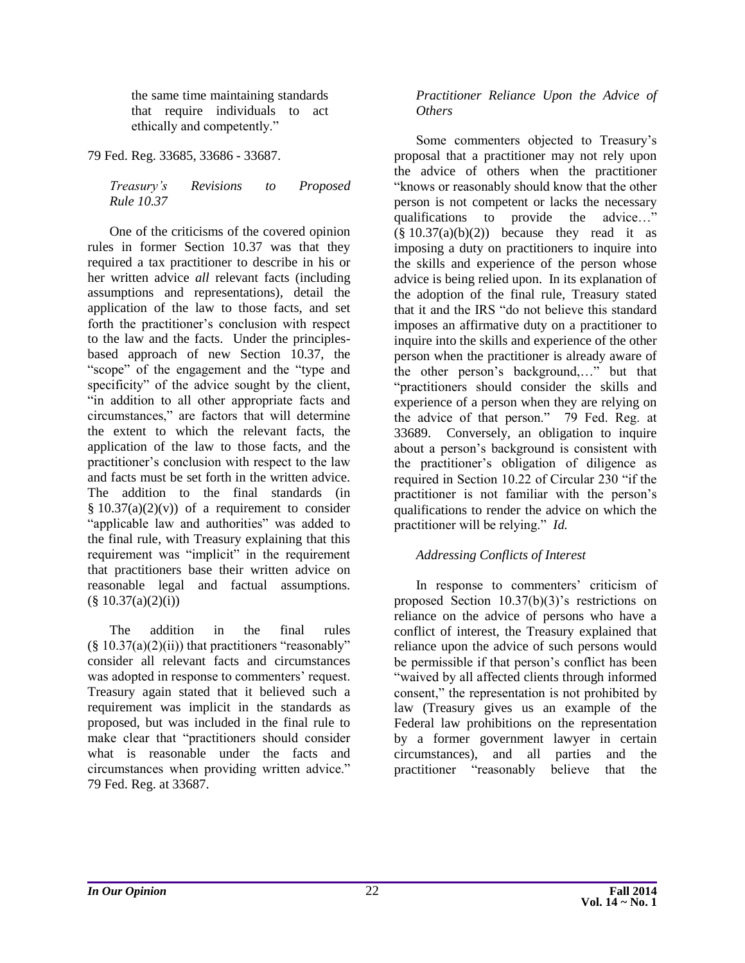the same time maintaining standards that require individuals to act ethically and competently."

79 Fed. Reg. 33685, 33686 - 33687.

*Treasury's Revisions to Proposed Rule 10.37*

One of the criticisms of the covered opinion rules in former Section 10.37 was that they required a tax practitioner to describe in his or her written advice *all* relevant facts (including assumptions and representations), detail the application of the law to those facts, and set forth the practitioner's conclusion with respect to the law and the facts. Under the principlesbased approach of new Section 10.37, the "scope" of the engagement and the "type and specificity" of the advice sought by the client, "in addition to all other appropriate facts and circumstances," are factors that will determine the extent to which the relevant facts, the application of the law to those facts, and the practitioner's conclusion with respect to the law and facts must be set forth in the written advice. The addition to the final standards (in  $§ 10.37(a)(2)(v)$  of a requirement to consider "applicable law and authorities" was added to the final rule, with Treasury explaining that this requirement was "implicit" in the requirement that practitioners base their written advice on reasonable legal and factual assumptions.  $(\S$  10.37(a)(2)(i))

The addition in the final rules  $(\S 10.37(a)(2)(ii))$  that practitioners "reasonably" consider all relevant facts and circumstances was adopted in response to commenters' request. Treasury again stated that it believed such a requirement was implicit in the standards as proposed, but was included in the final rule to make clear that "practitioners should consider what is reasonable under the facts and circumstances when providing written advice." 79 Fed. Reg. at 33687.

#### *Practitioner Reliance Upon the Advice of Others*

Some commenters objected to Treasury's proposal that a practitioner may not rely upon the advice of others when the practitioner "knows or reasonably should know that the other person is not competent or lacks the necessary qualifications to provide the advice…"  $(\S 10.37(a)(b)(2))$  because they read it as imposing a duty on practitioners to inquire into the skills and experience of the person whose advice is being relied upon. In its explanation of the adoption of the final rule, Treasury stated that it and the IRS "do not believe this standard imposes an affirmative duty on a practitioner to inquire into the skills and experience of the other person when the practitioner is already aware of the other person's background,…" but that "practitioners should consider the skills and experience of a person when they are relying on the advice of that person." 79 Fed. Reg. at 33689. Conversely, an obligation to inquire about a person's background is consistent with the practitioner's obligation of diligence as required in Section 10.22 of Circular 230 "if the practitioner is not familiar with the person's qualifications to render the advice on which the practitioner will be relying." *Id.*

#### *Addressing Conflicts of Interest*

In response to commenters' criticism of proposed Section 10.37(b)(3)'s restrictions on reliance on the advice of persons who have a conflict of interest, the Treasury explained that reliance upon the advice of such persons would be permissible if that person's conflict has been "waived by all affected clients through informed consent," the representation is not prohibited by law (Treasury gives us an example of the Federal law prohibitions on the representation by a former government lawyer in certain circumstances), and all parties and the practitioner "reasonably believe that the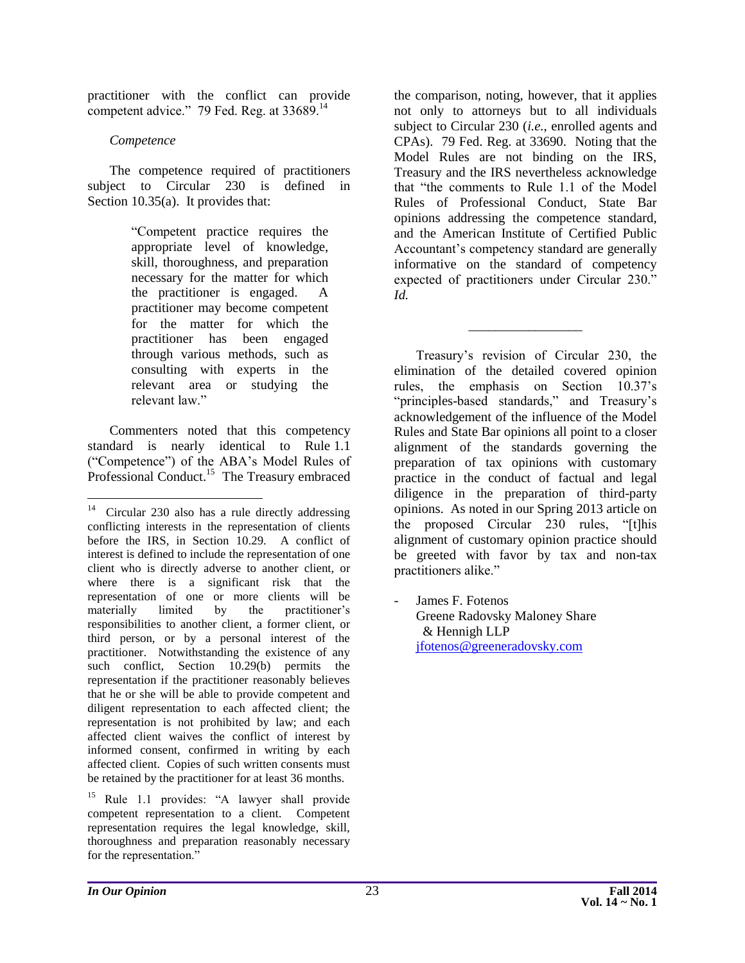practitioner with the conflict can provide competent advice." 79 Fed. Reg. at 33689.<sup>14</sup>

#### *Competence*

The competence required of practitioners subject to Circular 230 is defined in Section 10.35(a). It provides that:

> "Competent practice requires the appropriate level of knowledge, skill, thoroughness, and preparation necessary for the matter for which the practitioner is engaged. A practitioner may become competent for the matter for which the practitioner has been engaged through various methods, such as consulting with experts in the relevant area or studying the relevant law."

Commenters noted that this competency standard is nearly identical to Rule 1.1 ("Competence") of the ABA's Model Rules of Professional Conduct.<sup>15</sup> The Treasury embraced

the comparison, noting, however, that it applies not only to attorneys but to all individuals subject to Circular 230 (*i.e.*, enrolled agents and CPAs). 79 Fed. Reg. at 33690. Noting that the Model Rules are not binding on the IRS, Treasury and the IRS nevertheless acknowledge that "the comments to Rule 1.1 of the Model Rules of Professional Conduct, State Bar opinions addressing the competence standard, and the American Institute of Certified Public Accountant's competency standard are generally informative on the standard of competency expected of practitioners under Circular 230." *Id.*

\_\_\_\_\_\_\_\_\_\_\_\_\_\_\_\_\_

Treasury's revision of Circular 230, the elimination of the detailed covered opinion rules, the emphasis on Section 10.37's "principles-based standards," and Treasury's acknowledgement of the influence of the Model Rules and State Bar opinions all point to a closer alignment of the standards governing the preparation of tax opinions with customary practice in the conduct of factual and legal diligence in the preparation of third-party opinions. As noted in our Spring 2013 article on the proposed Circular 230 rules, "[t]his alignment of customary opinion practice should be greeted with favor by tax and non-tax practitioners alike."

James F. Fotenos Greene Radovsky Maloney Share & Hennigh LLP [jfotenos@greeneradovsky.com](mailto:jfotenos@greeneradovsky.com)

 $\overline{a}$ 

<sup>14</sup> Circular 230 also has a rule directly addressing conflicting interests in the representation of clients before the IRS, in Section 10.29. A conflict of interest is defined to include the representation of one client who is directly adverse to another client, or where there is a significant risk that the representation of one or more clients will be materially limited by the practitioner's responsibilities to another client, a former client, or third person, or by a personal interest of the practitioner. Notwithstanding the existence of any such conflict, Section 10.29(b) permits the representation if the practitioner reasonably believes that he or she will be able to provide competent and diligent representation to each affected client; the representation is not prohibited by law; and each affected client waives the conflict of interest by informed consent, confirmed in writing by each affected client. Copies of such written consents must be retained by the practitioner for at least 36 months.

<sup>&</sup>lt;sup>15</sup> Rule 1.1 provides: "A lawyer shall provide competent representation to a client. Competent representation requires the legal knowledge, skill, thoroughness and preparation reasonably necessary for the representation."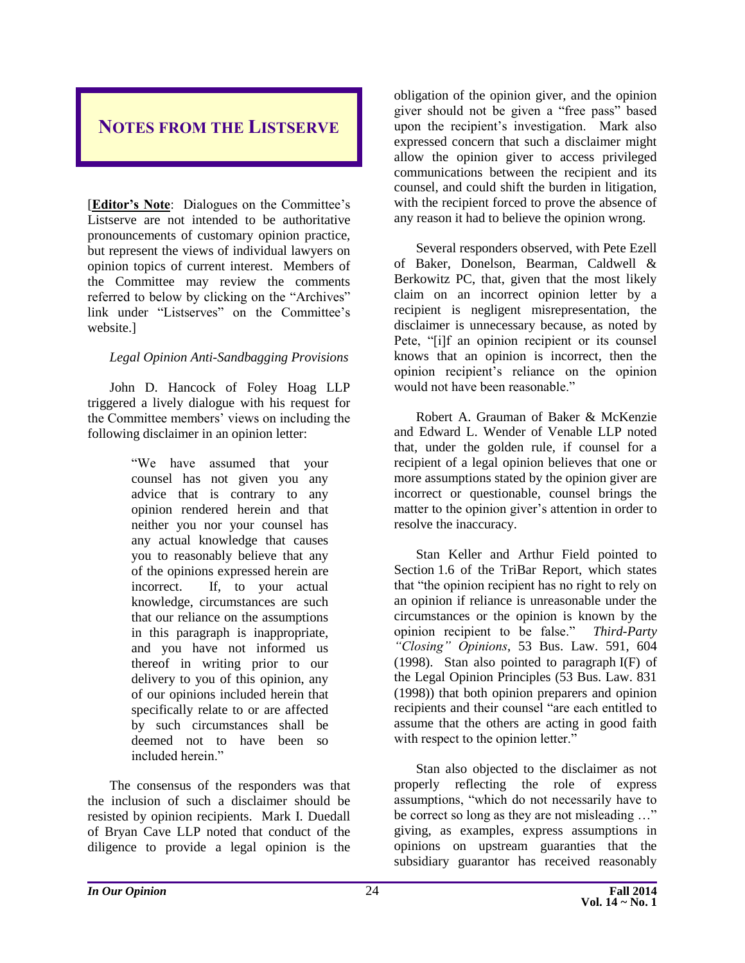## <span id="page-24-0"></span>**NOTES FROM THE LISTSERVE**

[**Editor's Note**: Dialogues on the Committee's Listserve are not intended to be authoritative pronouncements of customary opinion practice, but represent the views of individual lawyers on opinion topics of current interest. Members of the Committee may review the comments referred to below by clicking on the "Archives" link under "Listserves" on the Committee's website.]

#### *Legal Opinion Anti-Sandbagging Provisions*

John D. Hancock of Foley Hoag LLP triggered a lively dialogue with his request for the Committee members' views on including the following disclaimer in an opinion letter:

> "We have assumed that your counsel has not given you any advice that is contrary to any opinion rendered herein and that neither you nor your counsel has any actual knowledge that causes you to reasonably believe that any of the opinions expressed herein are incorrect. If, to your actual knowledge, circumstances are such that our reliance on the assumptions in this paragraph is inappropriate, and you have not informed us thereof in writing prior to our delivery to you of this opinion, any of our opinions included herein that specifically relate to or are affected by such circumstances shall be deemed not to have been so included herein."

The consensus of the responders was that the inclusion of such a disclaimer should be resisted by opinion recipients. Mark I. Duedall of Bryan Cave LLP noted that conduct of the diligence to provide a legal opinion is the

obligation of the opinion giver, and the opinion giver should not be given a "free pass" based upon the recipient's investigation. Mark also expressed concern that such a disclaimer might allow the opinion giver to access privileged communications between the recipient and its counsel, and could shift the burden in litigation, with the recipient forced to prove the absence of any reason it had to believe the opinion wrong.

Several responders observed, with Pete Ezell of Baker, Donelson, Bearman, Caldwell & Berkowitz PC, that, given that the most likely claim on an incorrect opinion letter by a recipient is negligent misrepresentation, the disclaimer is unnecessary because, as noted by Pete, "[i]f an opinion recipient or its counsel knows that an opinion is incorrect, then the opinion recipient's reliance on the opinion would not have been reasonable."

Robert A. Grauman of Baker & McKenzie and Edward L. Wender of Venable LLP noted that, under the golden rule, if counsel for a recipient of a legal opinion believes that one or more assumptions stated by the opinion giver are incorrect or questionable, counsel brings the matter to the opinion giver's attention in order to resolve the inaccuracy.

Stan Keller and Arthur Field pointed to Section 1.6 of the TriBar Report, which states that "the opinion recipient has no right to rely on an opinion if reliance is unreasonable under the circumstances or the opinion is known by the opinion recipient to be false." *Third-Party "Closing" Opinions*, 53 Bus. Law. 591, 604 (1998). Stan also pointed to paragraph I(F) of the Legal Opinion Principles (53 Bus. Law. 831 (1998)) that both opinion preparers and opinion recipients and their counsel "are each entitled to assume that the others are acting in good faith with respect to the opinion letter."

Stan also objected to the disclaimer as not properly reflecting the role of express assumptions, "which do not necessarily have to be correct so long as they are not misleading …" giving, as examples, express assumptions in opinions on upstream guaranties that the subsidiary guarantor has received reasonably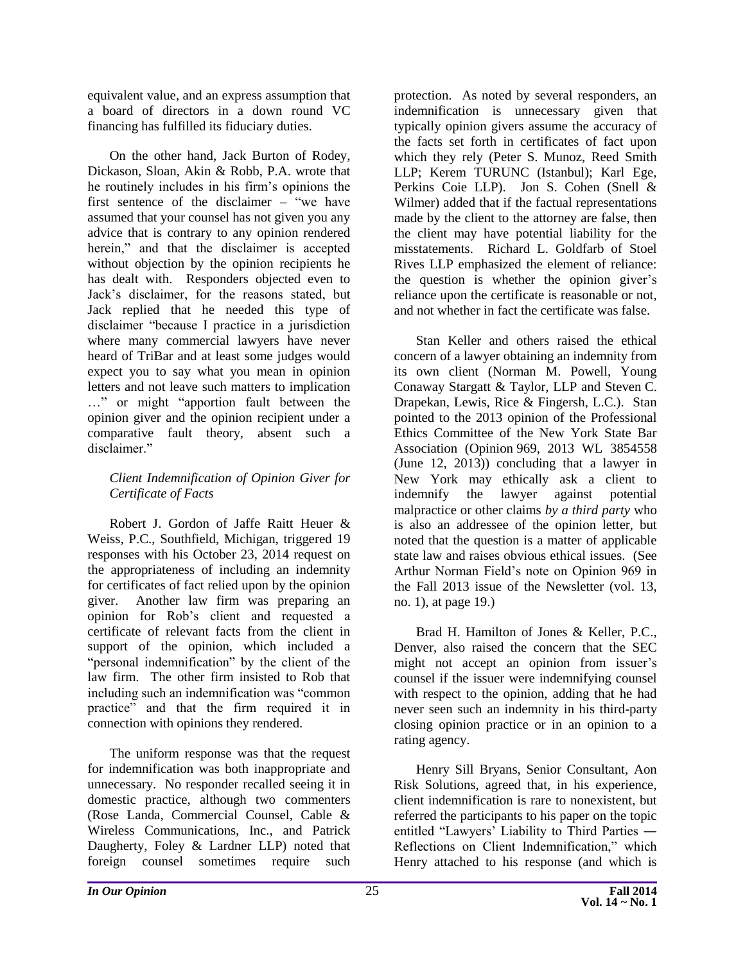equivalent value, and an express assumption that a board of directors in a down round VC financing has fulfilled its fiduciary duties.

On the other hand, Jack Burton of Rodey, Dickason, Sloan, Akin & Robb, P.A. wrote that he routinely includes in his firm's opinions the first sentence of the disclaimer  $-\tilde{ }$  "we have assumed that your counsel has not given you any advice that is contrary to any opinion rendered herein," and that the disclaimer is accepted without objection by the opinion recipients he has dealt with. Responders objected even to Jack's disclaimer, for the reasons stated, but Jack replied that he needed this type of disclaimer "because I practice in a jurisdiction where many commercial lawyers have never heard of TriBar and at least some judges would expect you to say what you mean in opinion letters and not leave such matters to implication …" or might "apportion fault between the opinion giver and the opinion recipient under a comparative fault theory, absent such a disclaimer."

#### *Client Indemnification of Opinion Giver for Certificate of Facts*

Robert J. Gordon of Jaffe Raitt Heuer & Weiss, P.C., Southfield, Michigan, triggered 19 responses with his October 23, 2014 request on the appropriateness of including an indemnity for certificates of fact relied upon by the opinion giver. Another law firm was preparing an opinion for Rob's client and requested a certificate of relevant facts from the client in support of the opinion, which included a "personal indemnification" by the client of the law firm. The other firm insisted to Rob that including such an indemnification was "common practice" and that the firm required it in connection with opinions they rendered.

The uniform response was that the request for indemnification was both inappropriate and unnecessary. No responder recalled seeing it in domestic practice, although two commenters (Rose Landa, Commercial Counsel, Cable & Wireless Communications, Inc., and Patrick Daugherty, Foley & Lardner LLP) noted that foreign counsel sometimes require such

protection. As noted by several responders, an indemnification is unnecessary given that typically opinion givers assume the accuracy of the facts set forth in certificates of fact upon which they rely (Peter S. Munoz, Reed Smith LLP; Kerem TURUNC (Istanbul); Karl Ege, Perkins Coie LLP). Jon S. Cohen (Snell & Wilmer) added that if the factual representations made by the client to the attorney are false, then the client may have potential liability for the misstatements. Richard L. Goldfarb of Stoel Rives LLP emphasized the element of reliance: the question is whether the opinion giver's reliance upon the certificate is reasonable or not, and not whether in fact the certificate was false.

Stan Keller and others raised the ethical concern of a lawyer obtaining an indemnity from its own client (Norman M. Powell, Young Conaway Stargatt & Taylor, LLP and Steven C. Drapekan, Lewis, Rice & Fingersh, L.C.). Stan pointed to the 2013 opinion of the Professional Ethics Committee of the New York State Bar Association (Opinion 969, 2013 WL 3854558 (June 12, 2013)) concluding that a lawyer in New York may ethically ask a client to indemnify the lawyer against potential malpractice or other claims *by a third party* who is also an addressee of the opinion letter, but noted that the question is a matter of applicable state law and raises obvious ethical issues. (See Arthur Norman Field's note on Opinion 969 in the Fall 2013 issue of the Newsletter (vol. 13, no. 1), at page 19.)

Brad H. Hamilton of Jones & Keller, P.C., Denver, also raised the concern that the SEC might not accept an opinion from issuer's counsel if the issuer were indemnifying counsel with respect to the opinion, adding that he had never seen such an indemnity in his third-party closing opinion practice or in an opinion to a rating agency.

Henry Sill Bryans, Senior Consultant, Aon Risk Solutions, agreed that, in his experience, client indemnification is rare to nonexistent, but referred the participants to his paper on the topic entitled "Lawyers' Liability to Third Parties ― Reflections on Client Indemnification," which Henry attached to his response (and which is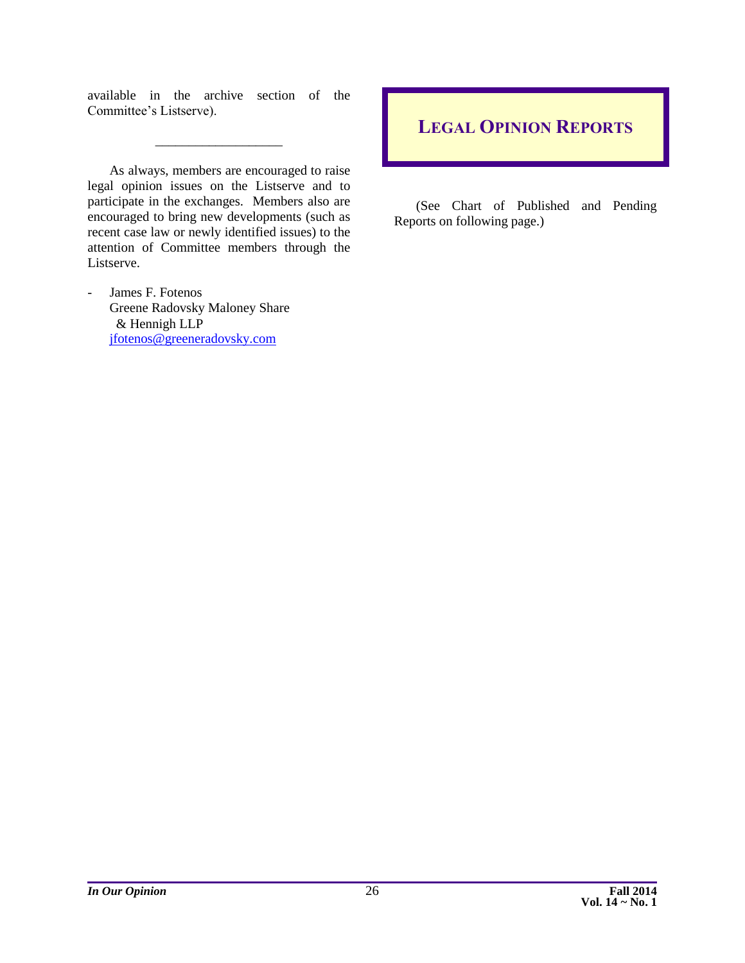available in the archive section of the Committee's Listserve).

\_\_\_\_\_\_\_\_\_\_\_\_\_\_\_\_\_\_\_

As always, members are encouraged to raise legal opinion issues on the Listserve and to participate in the exchanges. Members also are encouraged to bring new developments (such as recent case law or newly identified issues) to the attention of Committee members through the Listserve.

James F. Fotenos Greene Radovsky Maloney Share & Hennigh LLP [jfotenos@greeneradovsky.com](mailto:jfotenos@greeneradovsky.com)

# <span id="page-26-0"></span>**LEGAL OPINION REPORTS**

(See Chart of Published and Pending Reports on following page.)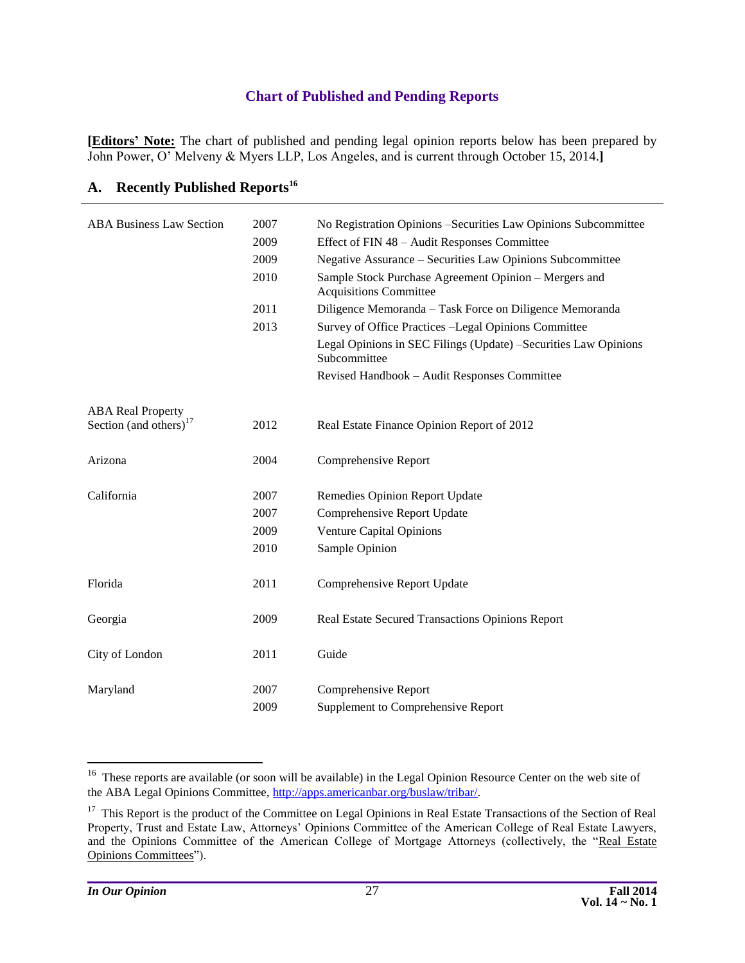#### **Chart of Published and Pending Reports**

<span id="page-27-0"></span>**[Editors' Note:** The chart of published and pending legal opinion reports below has been prepared by John Power, O' Melveny & Myers LLP, Los Angeles, and is current through October 15, 2014.**]**

| <b>ABA Business Law Section</b> | 2007 | No Registration Opinions – Securities Law Opinions Subcommittee                        |
|---------------------------------|------|----------------------------------------------------------------------------------------|
|                                 | 2009 | Effect of FIN 48 - Audit Responses Committee                                           |
|                                 | 2009 | Negative Assurance - Securities Law Opinions Subcommittee                              |
|                                 | 2010 | Sample Stock Purchase Agreement Opinion - Mergers and<br><b>Acquisitions Committee</b> |
|                                 | 2011 | Diligence Memoranda - Task Force on Diligence Memoranda                                |
|                                 | 2013 | Survey of Office Practices -Legal Opinions Committee                                   |
|                                 |      | Legal Opinions in SEC Filings (Update) -Securities Law Opinions<br>Subcommittee        |
|                                 |      | Revised Handbook - Audit Responses Committee                                           |
| <b>ABA Real Property</b>        |      |                                                                                        |
| Section (and others) $17$       | 2012 | Real Estate Finance Opinion Report of 2012                                             |
| Arizona                         | 2004 | Comprehensive Report                                                                   |
| California                      | 2007 | Remedies Opinion Report Update                                                         |
|                                 | 2007 | Comprehensive Report Update                                                            |
|                                 | 2009 | Venture Capital Opinions                                                               |
|                                 | 2010 | Sample Opinion                                                                         |
| Florida                         | 2011 | Comprehensive Report Update                                                            |
|                                 |      |                                                                                        |
| Georgia                         | 2009 | Real Estate Secured Transactions Opinions Report                                       |
| City of London                  | 2011 | Guide                                                                                  |
| Maryland                        | 2007 | Comprehensive Report                                                                   |
|                                 | 2009 | Supplement to Comprehensive Report                                                     |

# **A. Recently Published Reports<sup>16</sup>**

<sup>&</sup>lt;sup>16</sup> These reports are available (or soon will be available) in the Legal Opinion Resource Center on the web site of the ABA Legal Opinions Committee, [http://apps.americanbar.org/buslaw/tribar/.](http://apps.americanbar.org/buslaw/tribar/)

<sup>&</sup>lt;sup>17</sup> This Report is the product of the Committee on Legal Opinions in Real Estate Transactions of the Section of Real Property, Trust and Estate Law, Attorneys' Opinions Committee of the American College of Real Estate Lawyers, and the Opinions Committee of the American College of Mortgage Attorneys (collectively, the "Real Estate Opinions Committees").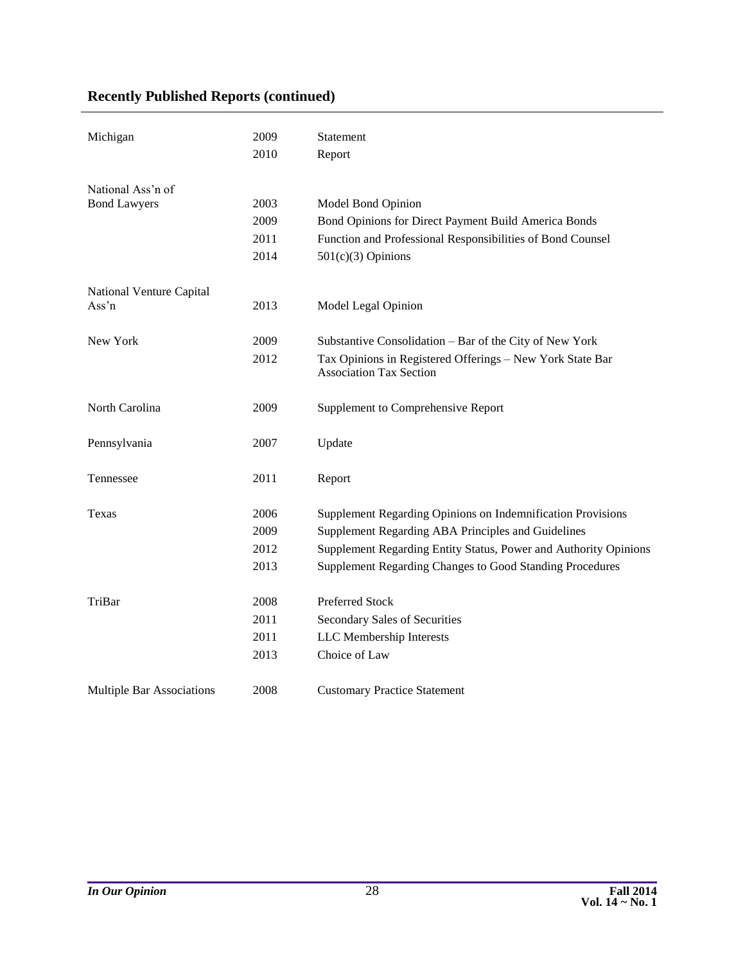### **Recently Published Reports (continued)**

| Michigan                         | 2009 | Statement                                                                                   |
|----------------------------------|------|---------------------------------------------------------------------------------------------|
|                                  | 2010 | Report                                                                                      |
| National Ass'n of                |      |                                                                                             |
| <b>Bond Lawyers</b>              | 2003 | Model Bond Opinion                                                                          |
|                                  | 2009 | Bond Opinions for Direct Payment Build America Bonds                                        |
|                                  | 2011 | Function and Professional Responsibilities of Bond Counsel                                  |
|                                  | 2014 | $501(c)(3)$ Opinions                                                                        |
| National Venture Capital         |      |                                                                                             |
| Ass'n                            | 2013 | Model Legal Opinion                                                                         |
| New York                         | 2009 | Substantive Consolidation - Bar of the City of New York                                     |
|                                  | 2012 | Tax Opinions in Registered Offerings - New York State Bar<br><b>Association Tax Section</b> |
| North Carolina                   | 2009 | Supplement to Comprehensive Report                                                          |
| Pennsylvania                     | 2007 | Update                                                                                      |
| Tennessee                        | 2011 | Report                                                                                      |
| Texas                            | 2006 | Supplement Regarding Opinions on Indemnification Provisions                                 |
|                                  | 2009 | Supplement Regarding ABA Principles and Guidelines                                          |
|                                  | 2012 | Supplement Regarding Entity Status, Power and Authority Opinions                            |
|                                  | 2013 | Supplement Regarding Changes to Good Standing Procedures                                    |
| TriBar                           | 2008 | Preferred Stock                                                                             |
|                                  | 2011 | Secondary Sales of Securities                                                               |
|                                  | 2011 | LLC Membership Interests                                                                    |
|                                  | 2013 | Choice of Law                                                                               |
| <b>Multiple Bar Associations</b> | 2008 | <b>Customary Practice Statement</b>                                                         |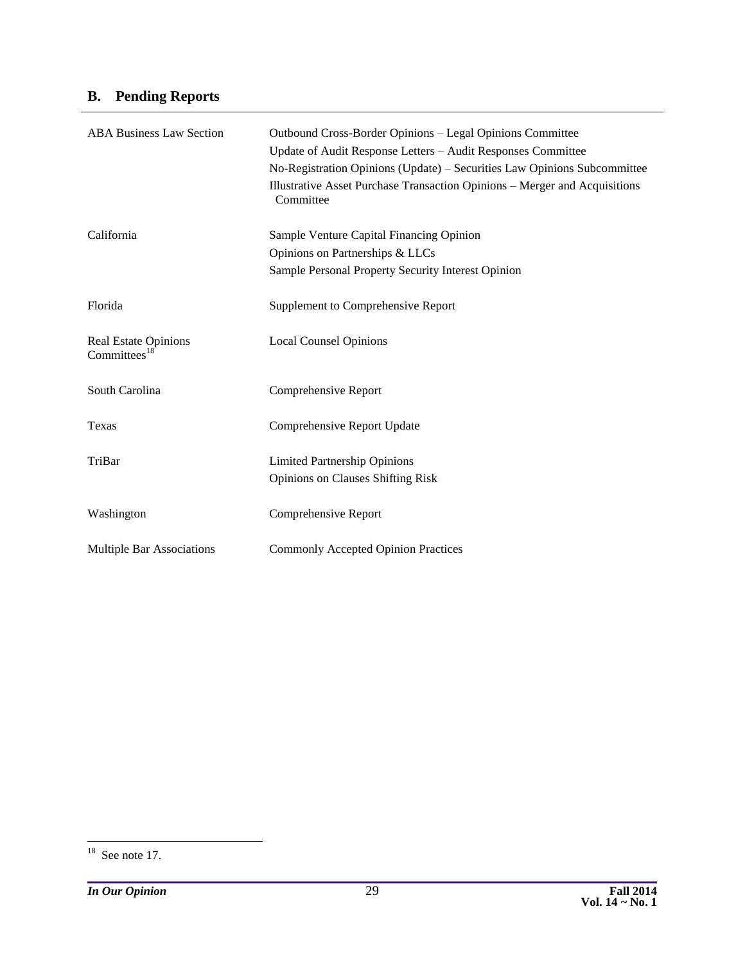# **B. Pending Reports**

| <b>ABA Business Law Section</b>         | Outbound Cross-Border Opinions – Legal Opinions Committee                               |  |  |  |
|-----------------------------------------|-----------------------------------------------------------------------------------------|--|--|--|
|                                         | Update of Audit Response Letters - Audit Responses Committee                            |  |  |  |
|                                         | No-Registration Opinions (Update) - Securities Law Opinions Subcommittee                |  |  |  |
|                                         | Illustrative Asset Purchase Transaction Opinions - Merger and Acquisitions<br>Committee |  |  |  |
| California                              | Sample Venture Capital Financing Opinion                                                |  |  |  |
|                                         | Opinions on Partnerships & LLCs                                                         |  |  |  |
|                                         | Sample Personal Property Security Interest Opinion                                      |  |  |  |
| Florida                                 | Supplement to Comprehensive Report                                                      |  |  |  |
| Real Estate Opinions<br>Committees $18$ | <b>Local Counsel Opinions</b>                                                           |  |  |  |
| South Carolina                          | Comprehensive Report                                                                    |  |  |  |
| Texas                                   | Comprehensive Report Update                                                             |  |  |  |
| TriBar                                  | <b>Limited Partnership Opinions</b>                                                     |  |  |  |
|                                         | <b>Opinions on Clauses Shifting Risk</b>                                                |  |  |  |
| Washington                              | Comprehensive Report                                                                    |  |  |  |
| <b>Multiple Bar Associations</b>        | <b>Commonly Accepted Opinion Practices</b>                                              |  |  |  |

 $18$  See note 17.